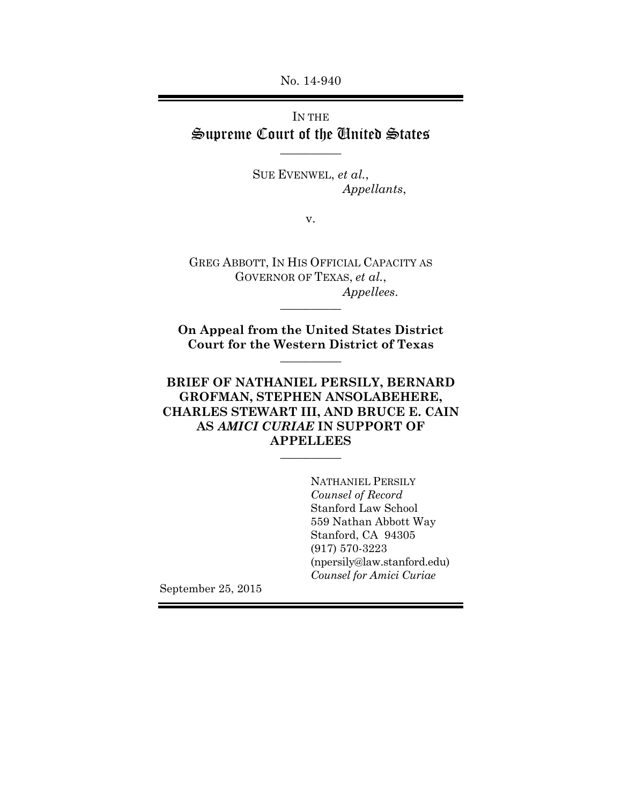No. 14-940

## IN THE Supreme Court of the United States

 $\overline{\phantom{a}}$ 

SUE EVENWEL, *et al.*, *Appellants*,

v.

GREG ABBOTT, IN HIS OFFICIAL CAPACITY AS GOVERNOR OF TEXAS, *et al.*, *Appellees*.  $\overline{\phantom{a}}$ 

**On Appeal from the United States District Court for the Western District of Texas**  $\overline{\phantom{a}}$ 

### **BRIEF OF NATHANIEL PERSILY, BERNARD GROFMAN, STEPHEN ANSOLABEHERE, CHARLES STEWART III, AND BRUCE E. CAIN AS** *AMICI CURIAE* **IN SUPPORT OF APPELLEES**

 $\overline{\phantom{a}}$ 

NATHANIEL PERSILY *Counsel of Record*  Stanford Law School 559 Nathan Abbott Way Stanford, CA 94305 (917) 570-3223 (npersily@law.stanford.edu) *Counsel for Amici Curiae*

September 25, 2015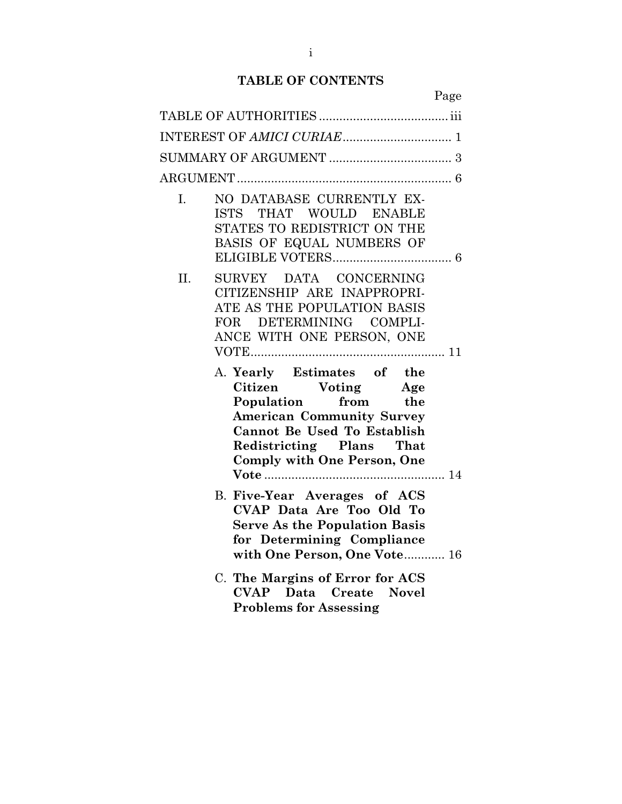## **TABLE OF CONTENTS**

|     | Page                                                                                                                                                                                                                |
|-----|---------------------------------------------------------------------------------------------------------------------------------------------------------------------------------------------------------------------|
|     |                                                                                                                                                                                                                     |
|     |                                                                                                                                                                                                                     |
|     |                                                                                                                                                                                                                     |
|     |                                                                                                                                                                                                                     |
| L.  | NO DATABASE CURRENTLY EX-<br>ISTS THAT WOULD ENABLE<br>STATES TO REDISTRICT ON THE<br>BASIS OF EQUAL NUMBERS OF                                                                                                     |
| II. | SURVEY DATA CONCERNING<br>CITIZENSHIP ARE INAPPROPRI-<br>ATE AS THE POPULATION BASIS<br>DETERMINING COMPLI-<br>FOR -<br>ANCE WITH ONE PERSON, ONE                                                                   |
|     | A. Yearly Estimates of the<br>Citizen Voting Age<br>Population from the<br><b>American Community Survey</b><br><b>Cannot Be Used To Establish</b><br>Redistricting Plans That<br><b>Comply with One Person, One</b> |
|     | <b>B. Five-Year Averages of ACS</b><br>CVAP Data Are Too Old To<br><b>Serve As the Population Basis</b><br>for Determining Compliance<br>with One Person, One Vote 16                                               |
|     | C. The Margins of Error for ACS<br><b>CVAP</b> Data Create Novel<br><b>Problems for Assessing</b>                                                                                                                   |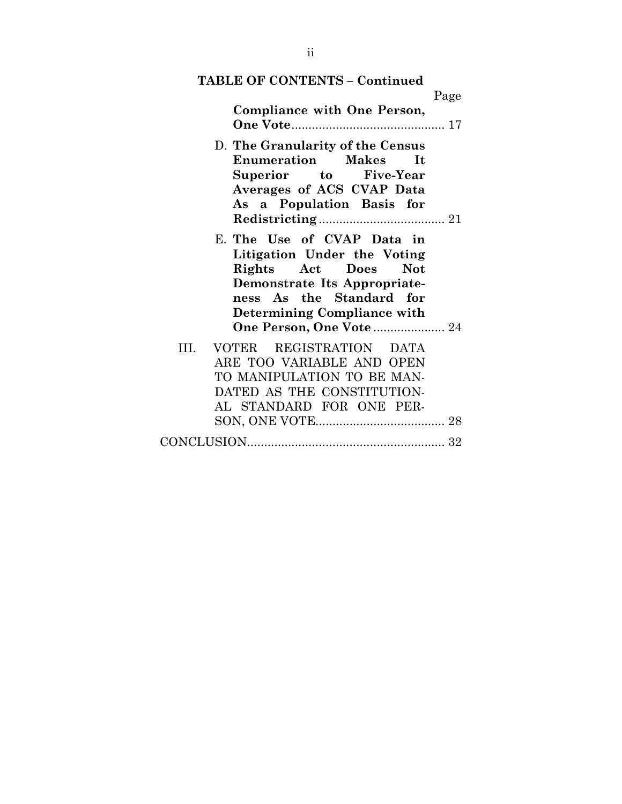| <b>TABLE OF CONTENTS - Continued</b>                                                                                                                                                                              |      |
|-------------------------------------------------------------------------------------------------------------------------------------------------------------------------------------------------------------------|------|
| Compliance with One Person,                                                                                                                                                                                       | Page |
|                                                                                                                                                                                                                   |      |
| D. The Granularity of the Census<br><b>Enumeration</b> Makes It<br>Superior to Five-Year<br>Averages of ACS CVAP Data<br>As a Population Basis for                                                                |      |
| E. The Use of CVAP Data in<br>Litigation Under the Voting<br>Rights Act Does<br>Not<br>Demonstrate Its Appropriate-<br>ness As the Standard for<br>Determining Compliance with<br><b>One Person, One Vote  24</b> |      |
| VOTER REGISTRATION DATA<br>TH.<br>ARE TOO VARIABLE AND OPEN<br>TO MANIPULATION TO BE MAN-<br>DATED AS THE CONSTITUTION-<br>AL STANDARD FOR ONE PER-                                                               |      |
|                                                                                                                                                                                                                   |      |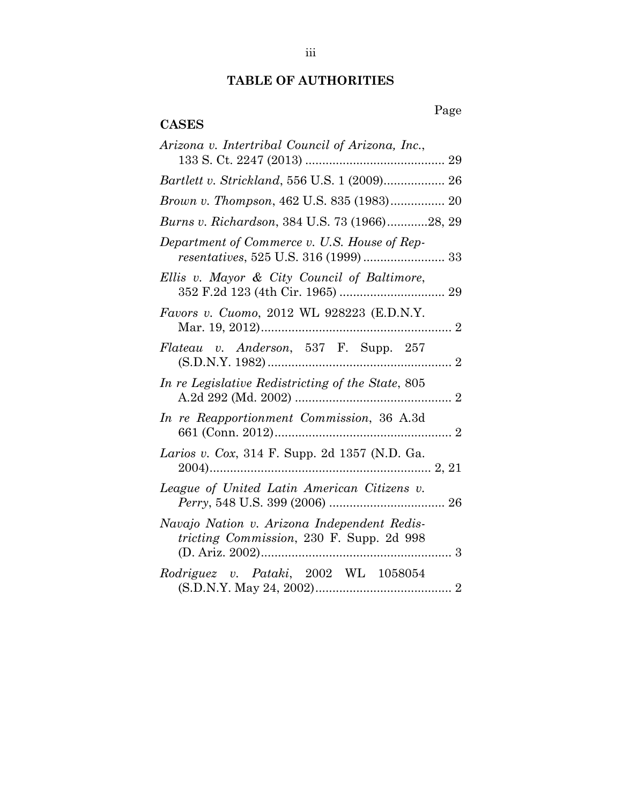# **TABLE OF AUTHORITIES**

Page

### **CASES**

| Arizona v. Intertribal Council of Arizona, Inc.,                                        |
|-----------------------------------------------------------------------------------------|
|                                                                                         |
| Brown v. Thompson, 462 U.S. 835 (1983) 20                                               |
| Burns v. Richardson, 384 U.S. 73 (1966)28, 29                                           |
| Department of Commerce v. U.S. House of Rep-                                            |
| Ellis v. Mayor & City Council of Baltimore,                                             |
| Favors v. Cuomo, 2012 WL 928223 (E.D.N.Y.                                               |
| Flateau v. Anderson, 537 F. Supp. 257                                                   |
| In re Legislative Redistricting of the State, 805                                       |
| In re Reapportionment Commission, 36 A.3d                                               |
| Larios v. Cox, 314 F. Supp. 2d 1357 (N.D. Ga.                                           |
| League of United Latin American Citizens v.                                             |
| Navajo Nation v. Arizona Independent Redis-<br>tricting Commission, 230 F. Supp. 2d 998 |
| Rodriguez v. Pataki, 2002 WL 1058054                                                    |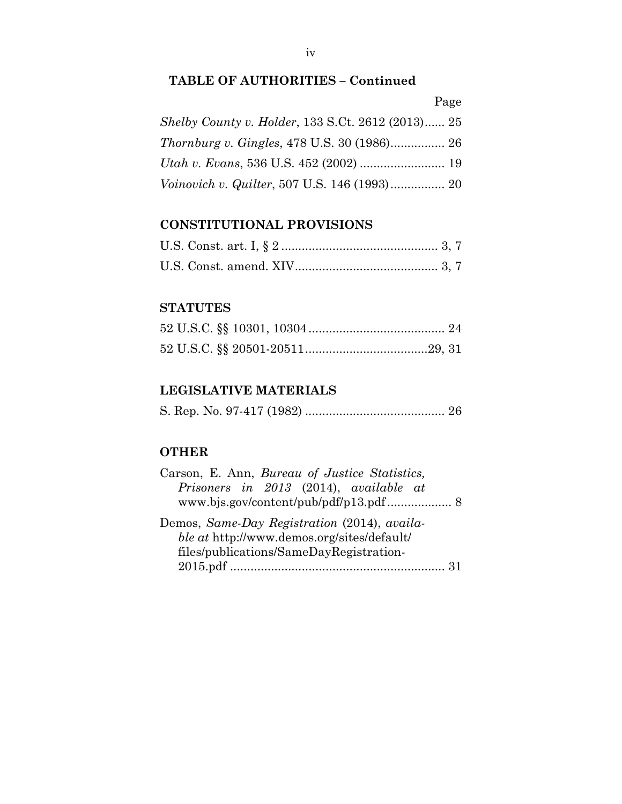|--|

| <i>Shelby County v. Holder, 133 S.Ct. 2612 (2013) 25</i> |  |
|----------------------------------------------------------|--|
| <i>Thornburg v. Gingles, 478 U.S. 30 (1986)</i> 26       |  |
|                                                          |  |
|                                                          |  |

## **CONSTITUTIONAL PROVISIONS**

### **STATUTES**

## **LEGISLATIVE MATERIALS**

|--|--|--|--|--|--|--|

### **OTHER**

| Carson, E. Ann, Bureau of Justice Statistics, |  |
|-----------------------------------------------|--|
| Prisoners in 2013 (2014), available at        |  |
|                                               |  |
| Demos, Same-Day Registration (2014), availa-  |  |
| ble at http://www.demos.org/sites/default/    |  |
| files/publications/SameDayRegistration-       |  |
|                                               |  |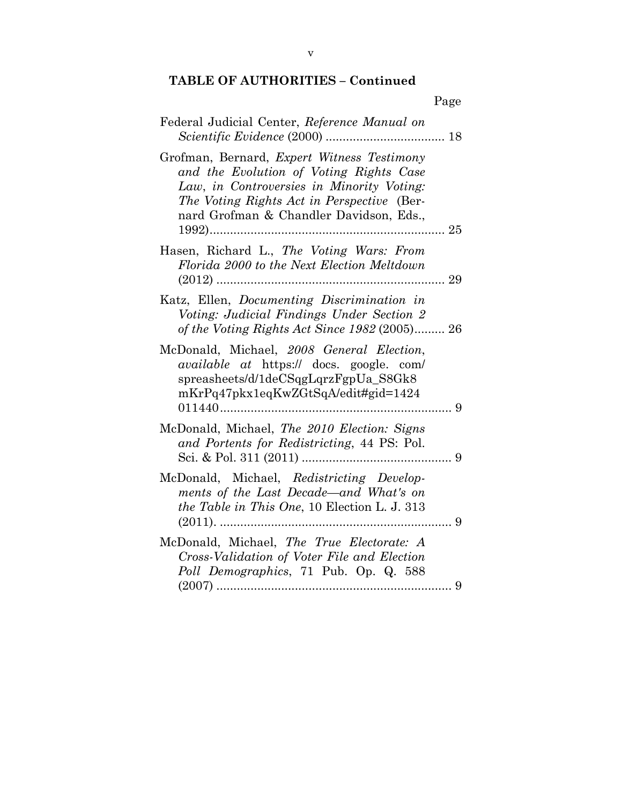|                                                                                                                                                                                                                                    | Page |
|------------------------------------------------------------------------------------------------------------------------------------------------------------------------------------------------------------------------------------|------|
| Federal Judicial Center, Reference Manual on                                                                                                                                                                                       |      |
| Grofman, Bernard, <i>Expert Witness Testimony</i><br>and the Evolution of Voting Rights Case<br>Law, in Controversies in Minority Voting:<br>The Voting Rights Act in Perspective (Ber-<br>nard Grofman & Chandler Davidson, Eds., |      |
| Hasen, Richard L., The Voting Wars: From<br>Florida 2000 to the Next Election Meltdown                                                                                                                                             |      |
| Katz, Ellen, Documenting Discrimination in<br>Voting: Judicial Findings Under Section 2<br>of the Voting Rights Act Since 1982 (2005) 26                                                                                           |      |
| McDonald, Michael, 2008 General Election,<br><i>available at</i> https:// docs. google. com/<br>spreasheets/d/1deCSqgLqrzFgpUa_S8Gk8<br>mKrPq47pkx1eqKwZGtSqA/edit#gid=1424                                                        |      |
| McDonald, Michael, The 2010 Election: Signs<br>and Portents for Redistricting, 44 PS: Pol.                                                                                                                                         |      |
| McDonald, Michael, Redistricting Develop-<br>ments of the Last Decade—and What's on<br>the Table in This One, 10 Election L. J. 313                                                                                                |      |
| McDonald, Michael, The True Electorate: A<br>Cross-Validation of Voter File and Election<br>Poll Demographics, 71 Pub. Op. Q. 588                                                                                                  | 9    |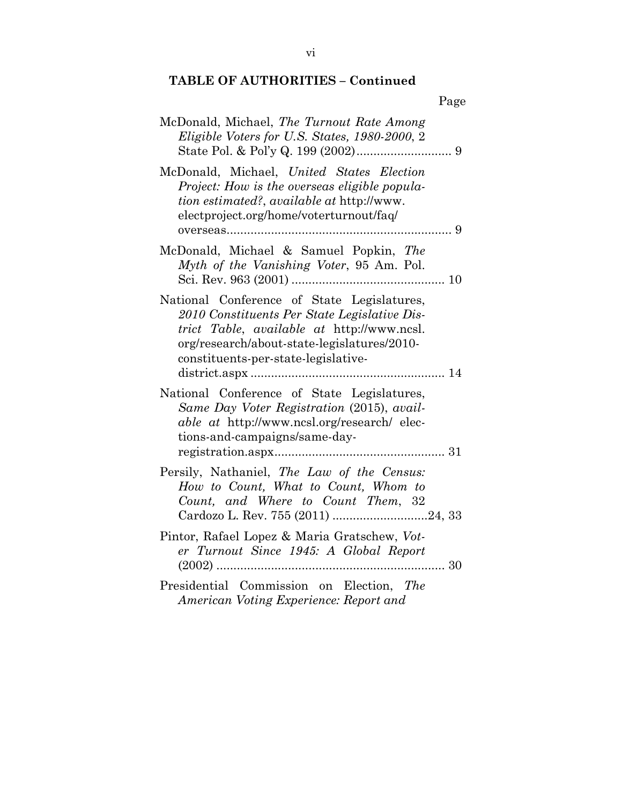|                                                                                                                                                                                                                                | Page |
|--------------------------------------------------------------------------------------------------------------------------------------------------------------------------------------------------------------------------------|------|
| McDonald, Michael, The Turnout Rate Among<br>Eligible Voters for U.S. States, 1980-2000, 2                                                                                                                                     |      |
| McDonald, Michael, United States Election<br>Project: How is the overseas eligible popula-<br>tion estimated?, available at http://www.<br>electproject.org/home/voterturnout/faq/                                             |      |
| McDonald, Michael & Samuel Popkin, The<br>Myth of the Vanishing Voter, 95 Am. Pol.                                                                                                                                             |      |
| National Conference of State Legislatures,<br>2010 Constituents Per State Legislative Dis-<br>trict Table, available at http://www.ncsl.<br>org/research/about-state-legislatures/2010-<br>constituents-per-state-legislative- |      |
| National Conference of State Legislatures,<br>Same Day Voter Registration (2015), avail-<br><i>able at http://www.ncsl.org/research/ elec-</i><br>tions-and-campaigns/same-day-                                                |      |
| Persily, Nathaniel, The Law of the Census:<br>How to Count, What to Count, Whom to<br>Count, and Where to Count Them, 32                                                                                                       |      |
| Pintor, Rafael Lopez & Maria Gratschew, Vot-<br>er Turnout Since 1945: A Global Report                                                                                                                                         | . 30 |
| Presidential Commission on Election, The<br>American Voting Experience: Report and                                                                                                                                             |      |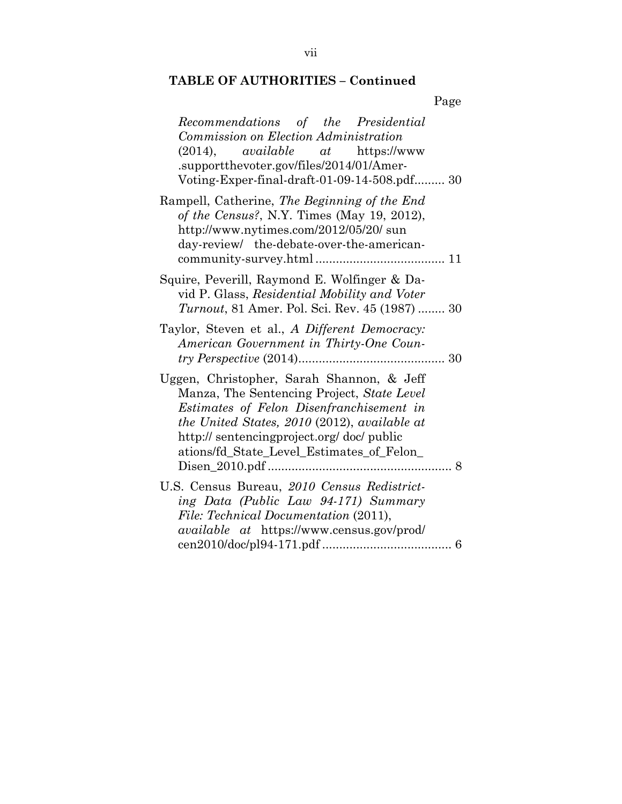| Page                                                                                                                                                                                                                                                                                |
|-------------------------------------------------------------------------------------------------------------------------------------------------------------------------------------------------------------------------------------------------------------------------------------|
| Recommendations of the Presidential<br>Commission on Election Administration<br>$(2014)$ , available at<br>https://www<br>.supportthevoter.gov/files/2014/01/Amer-<br>Voting-Exper-final-draft-01-09-14-508.pdf 30                                                                  |
| Rampell, Catherine, The Beginning of the End<br>of the Census?, N.Y. Times (May 19, 2012),<br>http://www.nytimes.com/2012/05/20/ sun<br>day-review/ the-debate-over-the-american-                                                                                                   |
| Squire, Peverill, Raymond E. Wolfinger & Da-<br>vid P. Glass, Residential Mobility and Voter<br><i>Turnout</i> , 81 Amer. Pol. Sci. Rev. 45 (1987)  30                                                                                                                              |
| Taylor, Steven et al., A Different Democracy:<br>American Government in Thirty-One Coun-                                                                                                                                                                                            |
| Uggen, Christopher, Sarah Shannon, & Jeff<br>Manza, The Sentencing Project, State Level<br>Estimates of Felon Disenfranchisement in<br>the United States, 2010 (2012), available at<br>http:// sentencingproject.org/ doc/ public<br>ations/fd_State_Level_Estimates_of_Felon_<br>8 |
| U.S. Census Bureau, 2010 Census Redistrict-<br>ing Data (Public Law 94-171) Summary<br>File: Technical Documentation (2011),<br><i>available at https://www.census.gov/prod/</i>                                                                                                    |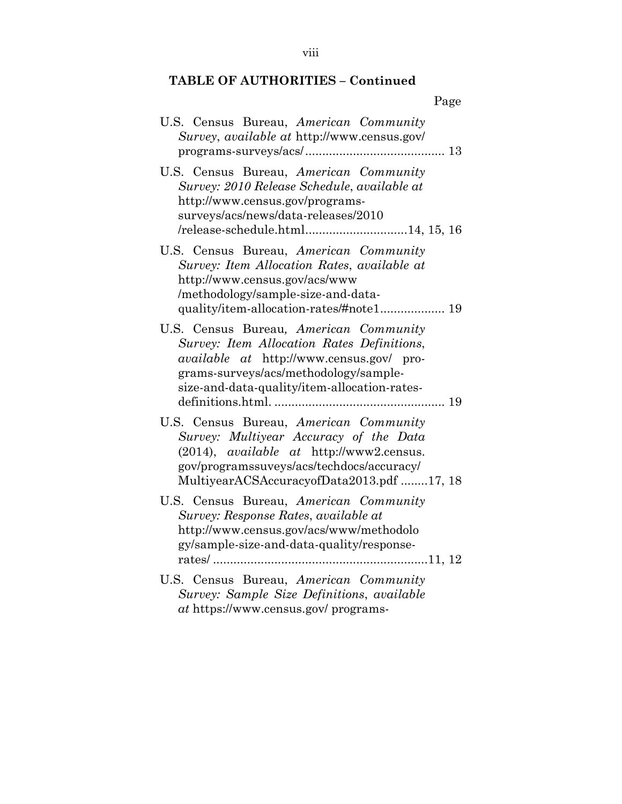| Page                                                                                                                                                                                                                             |
|----------------------------------------------------------------------------------------------------------------------------------------------------------------------------------------------------------------------------------|
| U.S. Census Bureau, American Community<br>Survey, available at http://www.census.gov/                                                                                                                                            |
| U.S. Census Bureau, American Community<br>Survey: 2010 Release Schedule, available at<br>http://www.census.gov/programs-<br>surveys/acs/news/data-releases/2010<br>/release-schedule.html14, 15, 16                              |
| U.S. Census Bureau, American Community<br>Survey: Item Allocation Rates, available at<br>http://www.census.gov/acs/www<br>/methodology/sample-size-and-data-<br>quality/item-allocation-rates/#note1 19                          |
| U.S. Census Bureau, American Community<br>Survey: Item Allocation Rates Definitions,<br><i>available at http://www.census.gov/ pro-</i><br>grams-surveys/acs/methodology/sample-<br>size-and-data-quality/item-allocation-rates- |
| U.S. Census Bureau, American Community<br>Survey: Multiyear Accuracy of the Data<br>(2014), <i>available at http://www2.census.</i><br>gov/programssuveys/acs/techdocs/accuracy/<br>MultiyearACSAccuracyofData2013.pdf 17, 18    |
| U.S. Census Bureau, American Community<br>Survey: Response Rates, available at<br>http://www.census.gov/acs/www/methodolo<br>gy/sample-size-and-data-quality/response-                                                           |
| U.S. Census Bureau, American Community<br>Survey: Sample Size Definitions, available<br><i>at</i> https://www.census.gov/ programs-                                                                                              |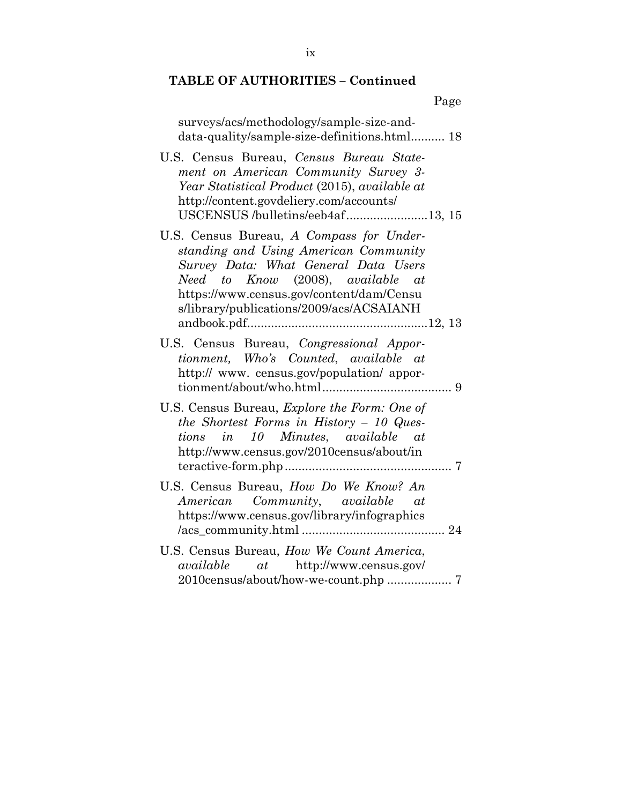| Page                                                                                                                                                                                                                                                   |
|--------------------------------------------------------------------------------------------------------------------------------------------------------------------------------------------------------------------------------------------------------|
| surveys/acs/methodology/sample-size-and-<br>data-quality/sample-size-definitions.html 18                                                                                                                                                               |
| U.S. Census Bureau, Census Bureau State-<br>ment on American Community Survey 3-<br>Year Statistical Product (2015), available at<br>http://content.govdeliery.com/accounts/<br>USCENSUS /bulletins/eeb4af13, 15                                       |
| U.S. Census Bureau, A Compass for Under-<br>standing and Using American Community<br>Survey Data: What General Data Users<br>Need to Know (2008), available at<br>https://www.census.gov/content/dam/Censu<br>s/library/publications/2009/acs/ACSAIANH |
| U.S. Census Bureau, Congressional Appor-<br>tionment, Who's Counted, available at<br>http:// www. census.gov/population/ appor-                                                                                                                        |
| U.S. Census Bureau, <i>Explore the Form: One of</i><br>the Shortest Forms in History $-10$ Ques-<br>tions in 10 Minutes, available at<br>http://www.census.gov/2010census/about/in                                                                     |
| U.S. Census Bureau, How Do We Know? An<br>American Community, available at<br>https://www.census.gov/library/infographics                                                                                                                              |
| U.S. Census Bureau, How We Count America,<br><i>available</i> at http://www.census.gov/<br>2010census/about/how-we-count.php  7                                                                                                                        |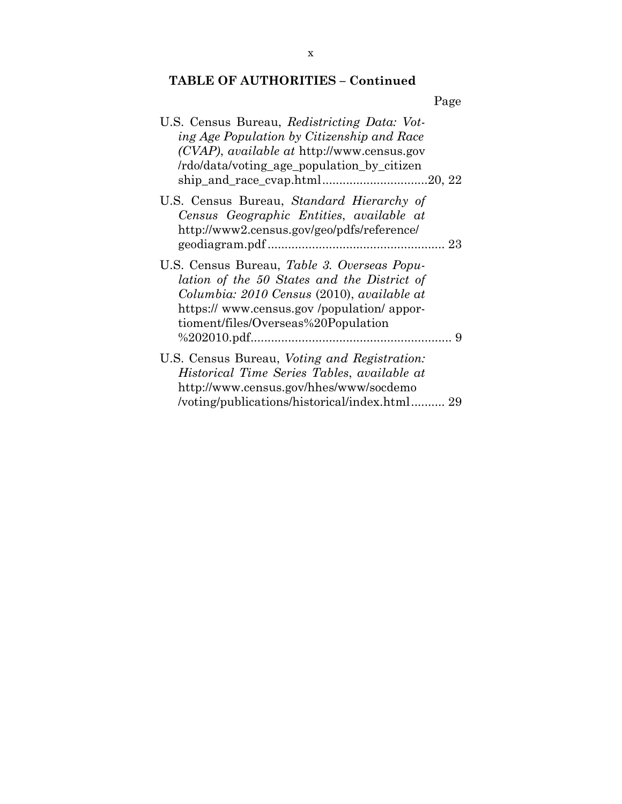|                                                                                                                                                                                                                                     | Page |
|-------------------------------------------------------------------------------------------------------------------------------------------------------------------------------------------------------------------------------------|------|
| U.S. Census Bureau, Redistricting Data: Vot-<br>ing Age Population by Citizenship and Race<br>$(CVAP)$ , <i>available at</i> http://www.census.gov<br>/rdo/data/voting_age_population_by_citizen                                    |      |
| U.S. Census Bureau, Standard Hierarchy of<br>Census Geographic Entities, available at<br>http://www2.census.gov/geo/pdfs/reference/                                                                                                 |      |
| U.S. Census Bureau, <i>Table 3. Overseas Popu-</i><br>lation of the 50 States and the District of<br>Columbia: 2010 Census (2010), available at<br>https:// www.census.gov/population/appor-<br>tioment/files/Overseas%20Population |      |
| U.S. Census Bureau, Voting and Registration:<br>Historical Time Series Tables, available at<br>http://www.census.gov/hhes/www/socdemo<br>/voting/publications/historical/index.html 29                                              |      |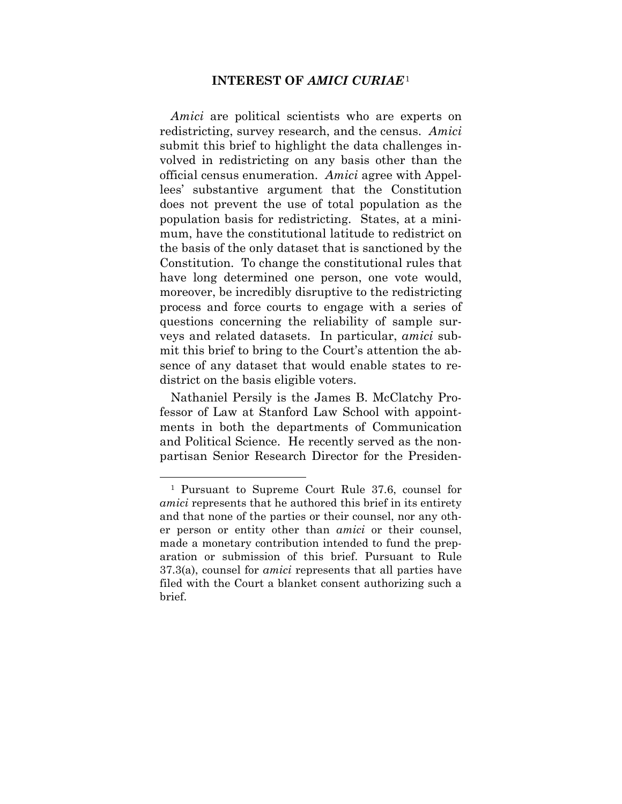#### **INTEREST OF** *AMICI CURIAE*<sup>1</sup>

*Amici* are political scientists who are experts on redistricting, survey research, and the census. *Amici* submit this brief to highlight the data challenges involved in redistricting on any basis other than the official census enumeration. *Amici* agree with Appellees' substantive argument that the Constitution does not prevent the use of total population as the population basis for redistricting. States, at a minimum, have the constitutional latitude to redistrict on the basis of the only dataset that is sanctioned by the Constitution. To change the constitutional rules that have long determined one person, one vote would, moreover, be incredibly disruptive to the redistricting process and force courts to engage with a series of questions concerning the reliability of sample surveys and related datasets. In particular, *amici* submit this brief to bring to the Court's attention the absence of any dataset that would enable states to redistrict on the basis eligible voters.

Nathaniel Persily is the James B. McClatchy Professor of Law at Stanford Law School with appointments in both the departments of Communication and Political Science. He recently served as the nonpartisan Senior Research Director for the Presiden-

 <sup>1</sup> Pursuant to Supreme Court Rule 37.6, counsel for *amici* represents that he authored this brief in its entirety and that none of the parties or their counsel, nor any other person or entity other than *amici* or their counsel, made a monetary contribution intended to fund the preparation or submission of this brief. Pursuant to Rule 37.3(a), counsel for *amici* represents that all parties have filed with the Court a blanket consent authorizing such a brief.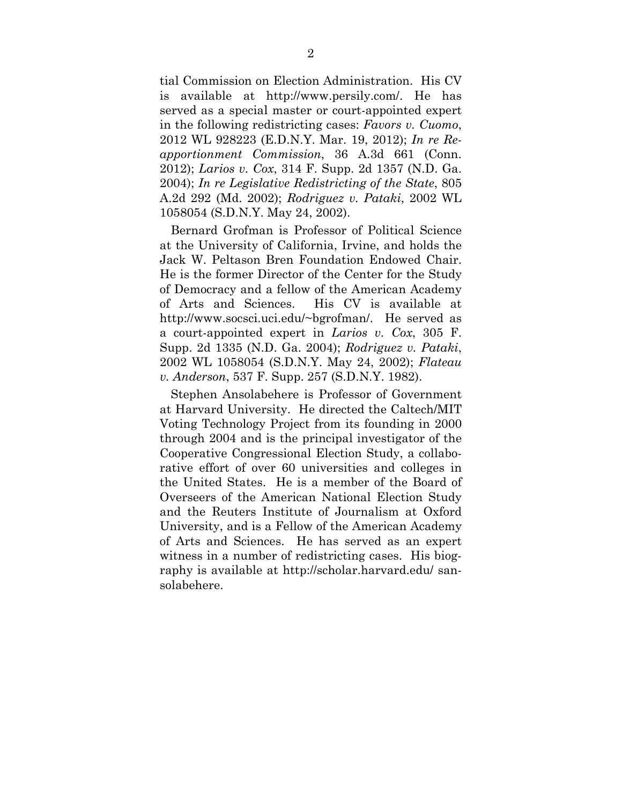tial Commission on Election Administration. His CV is available at http://www.persily.com/. He has served as a special master or court-appointed expert in the following redistricting cases: *Favors v. Cuomo*, 2012 WL 928223 (E.D.N.Y. Mar. 19, 2012); *In re Reapportionment Commission*, 36 A.3d 661 (Conn. 2012); *Larios v. Cox*, 314 F. Supp. 2d 1357 (N.D. Ga. 2004); *In re Legislative Redistricting of the State*, 805 A.2d 292 (Md. 2002); *Rodriguez v. Pataki*, 2002 WL 1058054 (S.D.N.Y. May 24, 2002).

Bernard Grofman is Professor of Political Science at the University of California, Irvine, and holds the Jack W. Peltason Bren Foundation Endowed Chair. He is the former Director of the Center for the Study of Democracy and a fellow of the American Academy of Arts and Sciences. His CV is available at http://www.socsci.uci.edu/~bgrofman/. He served as a court-appointed expert in *Larios v. Cox*, 305 F. Supp. 2d 1335 (N.D. Ga. 2004); *Rodriguez v. Pataki*, 2002 WL 1058054 (S.D.N.Y. May 24, 2002); *Flateau v. Anderson*, 537 F. Supp. 257 (S.D.N.Y. 1982).

Stephen Ansolabehere is Professor of Government at Harvard University. He directed the Caltech/MIT Voting Technology Project from its founding in 2000 through 2004 and is the principal investigator of the Cooperative Congressional Election Study, a collaborative effort of over 60 universities and colleges in the United States. He is a member of the Board of Overseers of the American National Election Study and the Reuters Institute of Journalism at Oxford University, and is a Fellow of the American Academy of Arts and Sciences. He has served as an expert witness in a number of redistricting cases. His biography is available at http://scholar.harvard.edu/ sansolabehere.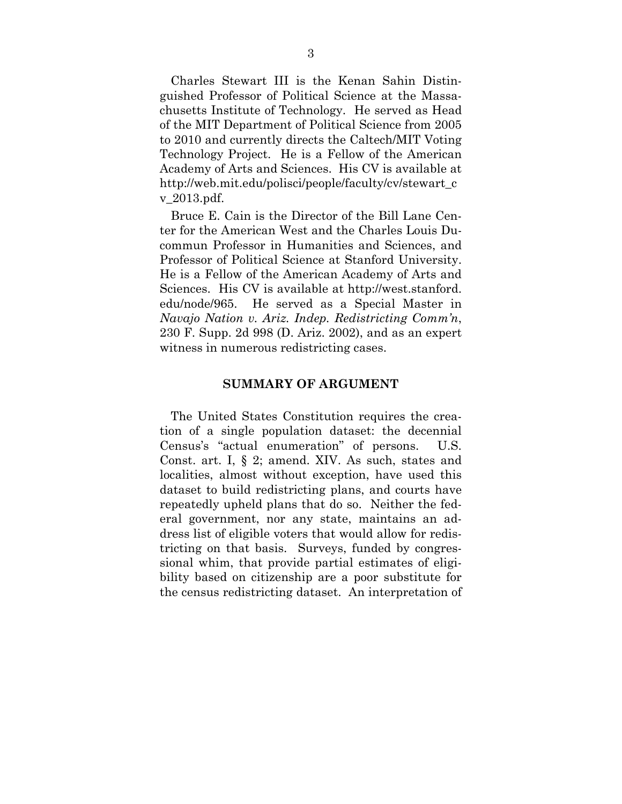Charles Stewart III is the Kenan Sahin Distinguished Professor of Political Science at the Massachusetts Institute of Technology. He served as Head of the MIT Department of Political Science from 2005 to 2010 and currently directs the Caltech/MIT Voting Technology Project. He is a Fellow of the American Academy of Arts and Sciences. His CV is available at http://web.mit.edu/polisci/people/faculty/cv/stewart\_c v\_2013.pdf.

Bruce E. Cain is the Director of the Bill Lane Center for the American West and the Charles Louis Ducommun Professor in Humanities and Sciences, and Professor of Political Science at Stanford University. He is a Fellow of the American Academy of Arts and Sciences. His CV is available at http://west.stanford. edu/node/965. He served as a Special Master in *Navajo Nation v. Ariz. Indep. Redistricting Comm'n*, 230 F. Supp. 2d 998 (D. Ariz. 2002), and as an expert witness in numerous redistricting cases.

#### **SUMMARY OF ARGUMENT**

The United States Constitution requires the creation of a single population dataset: the decennial Census's "actual enumeration" of persons. U.S. Const. art. I, § 2; amend. XIV. As such, states and localities, almost without exception, have used this dataset to build redistricting plans, and courts have repeatedly upheld plans that do so. Neither the federal government, nor any state, maintains an address list of eligible voters that would allow for redistricting on that basis. Surveys, funded by congressional whim, that provide partial estimates of eligibility based on citizenship are a poor substitute for the census redistricting dataset. An interpretation of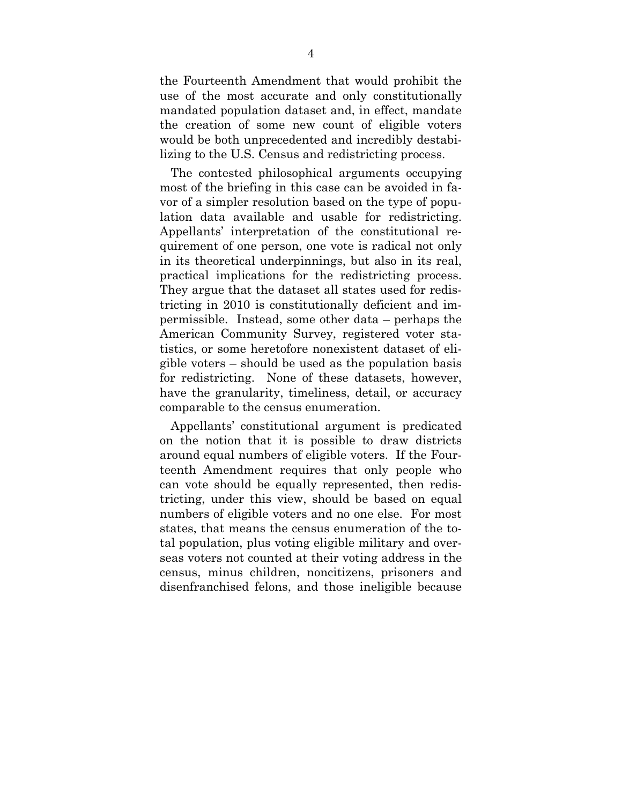the Fourteenth Amendment that would prohibit the use of the most accurate and only constitutionally mandated population dataset and, in effect, mandate the creation of some new count of eligible voters would be both unprecedented and incredibly destabilizing to the U.S. Census and redistricting process.

The contested philosophical arguments occupying most of the briefing in this case can be avoided in favor of a simpler resolution based on the type of population data available and usable for redistricting. Appellants' interpretation of the constitutional requirement of one person, one vote is radical not only in its theoretical underpinnings, but also in its real, practical implications for the redistricting process. They argue that the dataset all states used for redistricting in 2010 is constitutionally deficient and impermissible. Instead, some other data – perhaps the American Community Survey, registered voter statistics, or some heretofore nonexistent dataset of eligible voters – should be used as the population basis for redistricting. None of these datasets, however, have the granularity, timeliness, detail, or accuracy comparable to the census enumeration.

Appellants' constitutional argument is predicated on the notion that it is possible to draw districts around equal numbers of eligible voters. If the Fourteenth Amendment requires that only people who can vote should be equally represented, then redistricting, under this view, should be based on equal numbers of eligible voters and no one else. For most states, that means the census enumeration of the total population, plus voting eligible military and overseas voters not counted at their voting address in the census, minus children, noncitizens, prisoners and disenfranchised felons, and those ineligible because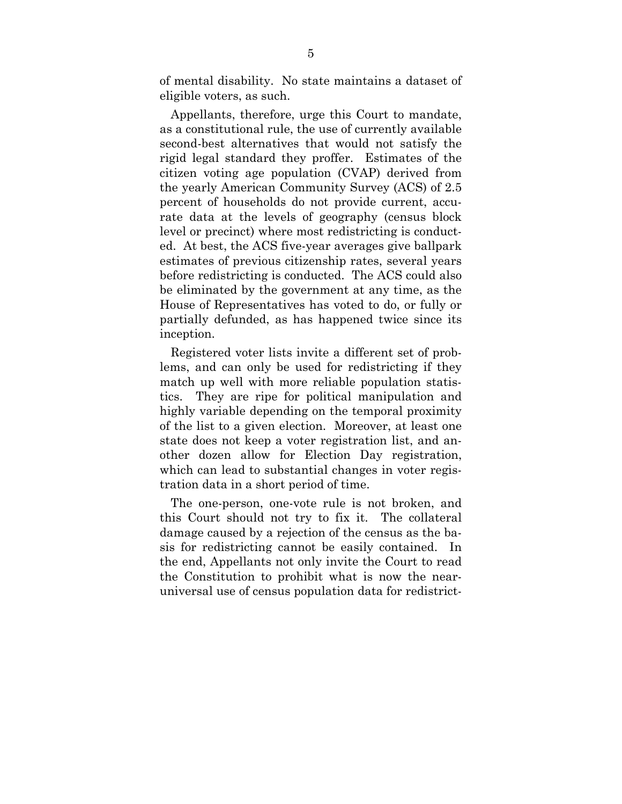of mental disability. No state maintains a dataset of eligible voters, as such.

Appellants, therefore, urge this Court to mandate, as a constitutional rule, the use of currently available second-best alternatives that would not satisfy the rigid legal standard they proffer. Estimates of the citizen voting age population (CVAP) derived from the yearly American Community Survey (ACS) of 2.5 percent of households do not provide current, accurate data at the levels of geography (census block level or precinct) where most redistricting is conducted. At best, the ACS five-year averages give ballpark estimates of previous citizenship rates, several years before redistricting is conducted. The ACS could also be eliminated by the government at any time, as the House of Representatives has voted to do, or fully or partially defunded, as has happened twice since its inception.

Registered voter lists invite a different set of problems, and can only be used for redistricting if they match up well with more reliable population statistics. They are ripe for political manipulation and highly variable depending on the temporal proximity of the list to a given election. Moreover, at least one state does not keep a voter registration list, and another dozen allow for Election Day registration, which can lead to substantial changes in voter registration data in a short period of time.

The one-person, one-vote rule is not broken, and this Court should not try to fix it. The collateral damage caused by a rejection of the census as the basis for redistricting cannot be easily contained. In the end, Appellants not only invite the Court to read the Constitution to prohibit what is now the nearuniversal use of census population data for redistrict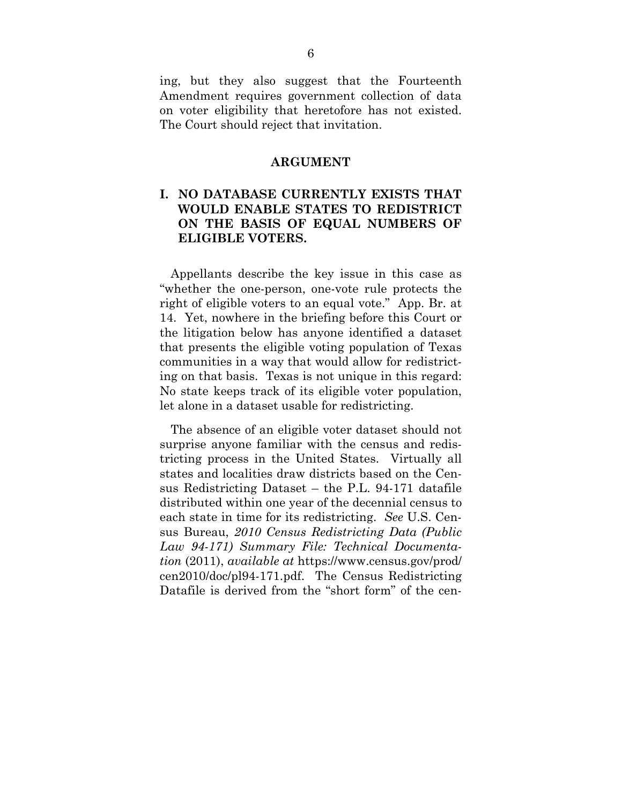ing, but they also suggest that the Fourteenth Amendment requires government collection of data on voter eligibility that heretofore has not existed. The Court should reject that invitation.

#### **ARGUMENT**

### **I. NO DATABASE CURRENTLY EXISTS THAT WOULD ENABLE STATES TO REDISTRICT ON THE BASIS OF EQUAL NUMBERS OF ELIGIBLE VOTERS.**

Appellants describe the key issue in this case as "whether the one-person, one-vote rule protects the right of eligible voters to an equal vote." App. Br. at 14. Yet, nowhere in the briefing before this Court or the litigation below has anyone identified a dataset that presents the eligible voting population of Texas communities in a way that would allow for redistricting on that basis. Texas is not unique in this regard: No state keeps track of its eligible voter population, let alone in a dataset usable for redistricting.

The absence of an eligible voter dataset should not surprise anyone familiar with the census and redistricting process in the United States. Virtually all states and localities draw districts based on the Census Redistricting Dataset – the P.L. 94-171 datafile distributed within one year of the decennial census to each state in time for its redistricting. *See* U.S. Census Bureau, *2010 Census Redistricting Data (Public Law 94-171) Summary File: Technical Documentation* (2011), *available at* https://www.census.gov/prod/ cen2010/doc/pl94-171.pdf. The Census Redistricting Datafile is derived from the "short form" of the cen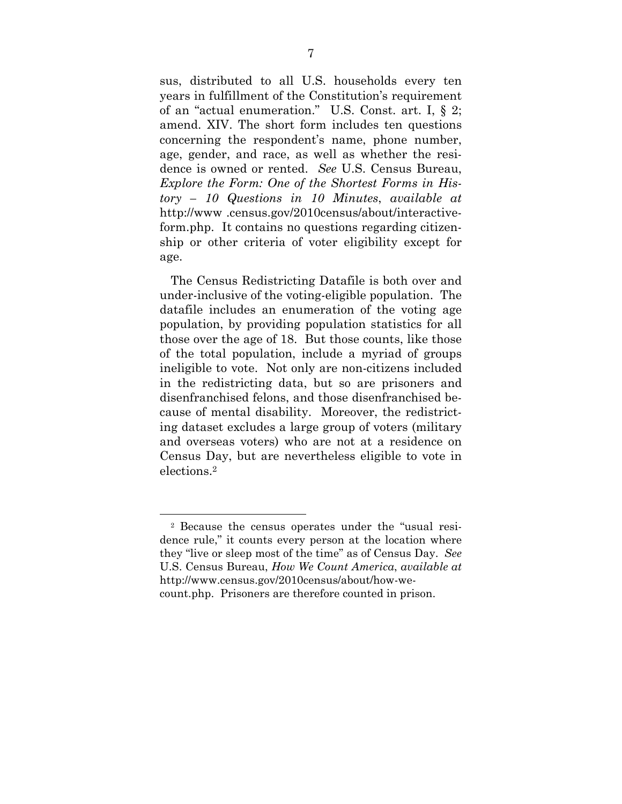sus, distributed to all U.S. households every ten years in fulfillment of the Constitution's requirement of an "actual enumeration." U.S. Const. art. I, § 2; amend. XIV. The short form includes ten questions concerning the respondent's name, phone number, age, gender, and race, as well as whether the residence is owned or rented. *See* U.S. Census Bureau, *Explore the Form: One of the Shortest Forms in History – 10 Questions in 10 Minutes*, *available at* http://www .census.gov/2010census/about/interactiveform.php. It contains no questions regarding citizenship or other criteria of voter eligibility except for age.

The Census Redistricting Datafile is both over and under-inclusive of the voting-eligible population. The datafile includes an enumeration of the voting age population, by providing population statistics for all those over the age of 18. But those counts, like those of the total population, include a myriad of groups ineligible to vote. Not only are non-citizens included in the redistricting data, but so are prisoners and disenfranchised felons, and those disenfranchised because of mental disability. Moreover, the redistricting dataset excludes a large group of voters (military and overseas voters) who are not at a residence on Census Day, but are nevertheless eligible to vote in elections.2

 <sup>2</sup> Because the census operates under the "usual residence rule," it counts every person at the location where they "live or sleep most of the time" as of Census Day. *See* U.S. Census Bureau, *How We Count America*, *available at* http://www.census.gov/2010census/about/how-wecount.php. Prisoners are therefore counted in prison.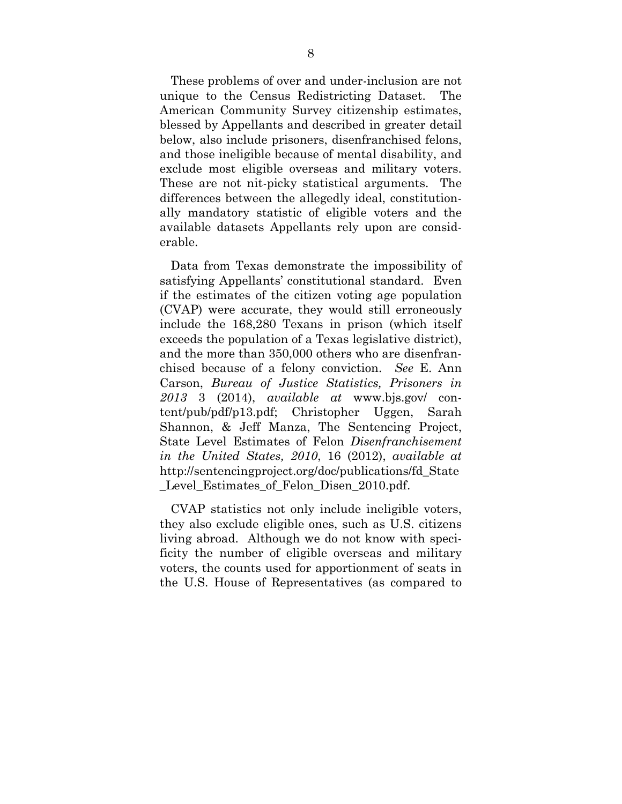These problems of over and under-inclusion are not unique to the Census Redistricting Dataset. The American Community Survey citizenship estimates, blessed by Appellants and described in greater detail below, also include prisoners, disenfranchised felons, and those ineligible because of mental disability, and exclude most eligible overseas and military voters. These are not nit-picky statistical arguments. The differences between the allegedly ideal, constitutionally mandatory statistic of eligible voters and the available datasets Appellants rely upon are considerable.

Data from Texas demonstrate the impossibility of satisfying Appellants' constitutional standard. Even if the estimates of the citizen voting age population (CVAP) were accurate, they would still erroneously include the 168,280 Texans in prison (which itself exceeds the population of a Texas legislative district), and the more than 350,000 others who are disenfranchised because of a felony conviction. *See* E. Ann Carson, *Bureau of Justice Statistics, Prisoners in 2013* 3 (2014), *available at* www.bjs.gov/ content/pub/pdf/p13.pdf; Christopher Uggen, Sarah Shannon, & Jeff Manza, The Sentencing Project, State Level Estimates of Felon *Disenfranchisement in the United States, 2010*, 16 (2012), *available at* http://sentencingproject.org/doc/publications/fd\_State \_Level\_Estimates\_of\_Felon\_Disen\_2010.pdf.

CVAP statistics not only include ineligible voters, they also exclude eligible ones, such as U.S. citizens living abroad. Although we do not know with specificity the number of eligible overseas and military voters, the counts used for apportionment of seats in the U.S. House of Representatives (as compared to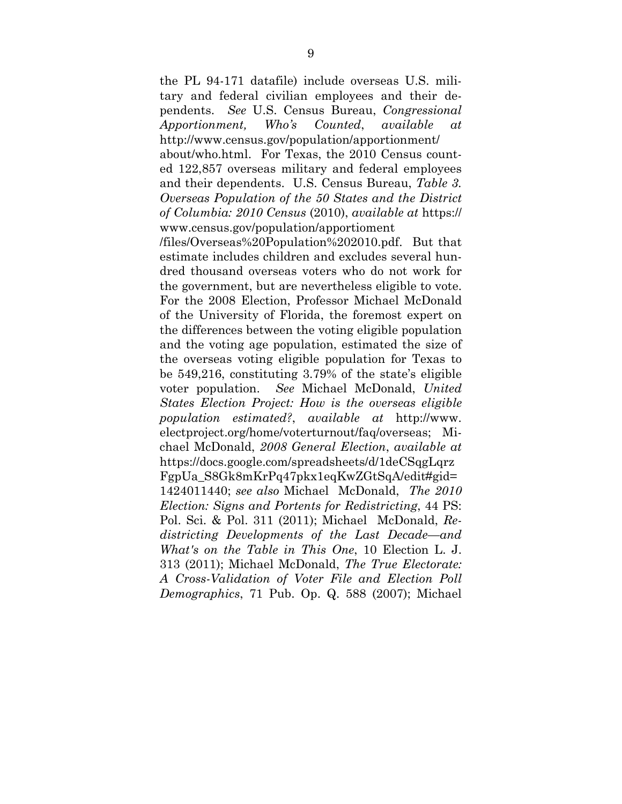the PL 94-171 datafile) include overseas U.S. military and federal civilian employees and their dependents. *See* U.S. Census Bureau, *Congressional Apportionment, Who's Counted*, *available at*  http://www.census.gov/population/apportionment/

about/who.html. For Texas, the 2010 Census counted 122,857 overseas military and federal employees and their dependents. U.S. Census Bureau, *Table 3. Overseas Population of the 50 States and the District of Columbia: 2010 Census* (2010), *available at* https:// www.census.gov/population/apportioment

/files/Overseas%20Population%202010.pdf. But that estimate includes children and excludes several hundred thousand overseas voters who do not work for the government, but are nevertheless eligible to vote. For the 2008 Election, Professor Michael McDonald of the University of Florida, the foremost expert on the differences between the voting eligible population and the voting age population, estimated the size of the overseas voting eligible population for Texas to be 549,216, constituting 3.79% of the state's eligible voter population. *See* Michael McDonald, *United States Election Project: How is the overseas eligible population estimated?*, *available at* http://www. electproject.org/home/voterturnout/faq/overseas; Michael McDonald, *2008 General Election*, *available at*  https://docs.google.com/spreadsheets/d/1deCSqgLqrz FgpUa\_S8Gk8mKrPq47pkx1eqKwZGtSqA/edit#gid= 1424011440; *see also* Michael McDonald, *The 2010 Election: Signs and Portents for Redistricting*, 44 PS: Pol. Sci. & Pol. 311 (2011); Michael McDonald, *Redistricting Developments of the Last Decade—and What's on the Table in This One*, 10 Election L. J. 313 (2011); Michael McDonald, *The True Electorate: A Cross-Validation of Voter File and Election Poll Demographics*, 71 Pub. Op. Q. 588 (2007); Michael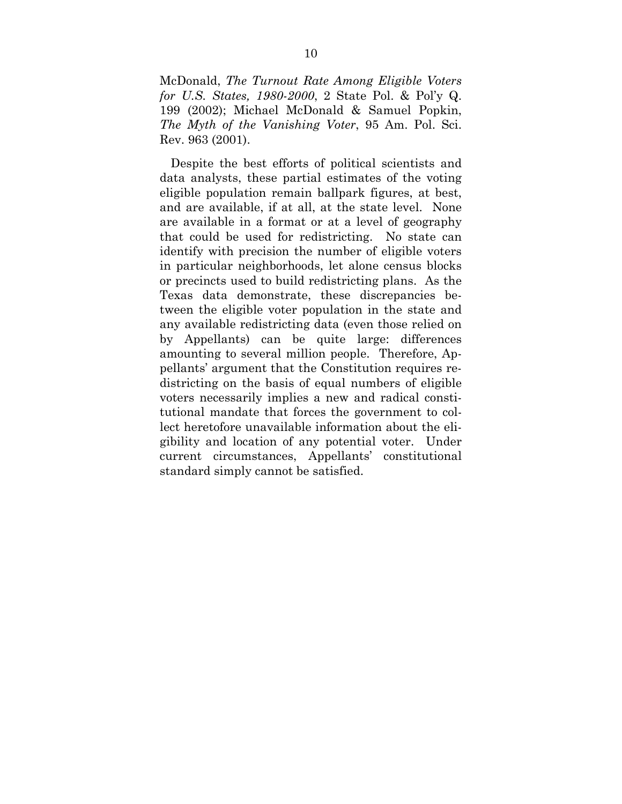McDonald, *The Turnout Rate Among Eligible Voters for U.S. States, 1980-2000*, 2 State Pol. & Pol'y Q. 199 (2002); Michael McDonald & Samuel Popkin, *The Myth of the Vanishing Voter*, 95 Am. Pol. Sci. Rev. 963 (2001).

Despite the best efforts of political scientists and data analysts, these partial estimates of the voting eligible population remain ballpark figures, at best, and are available, if at all, at the state level. None are available in a format or at a level of geography that could be used for redistricting. No state can identify with precision the number of eligible voters in particular neighborhoods, let alone census blocks or precincts used to build redistricting plans. As the Texas data demonstrate, these discrepancies between the eligible voter population in the state and any available redistricting data (even those relied on by Appellants) can be quite large: differences amounting to several million people. Therefore, Appellants' argument that the Constitution requires redistricting on the basis of equal numbers of eligible voters necessarily implies a new and radical constitutional mandate that forces the government to collect heretofore unavailable information about the eligibility and location of any potential voter. Under current circumstances, Appellants' constitutional standard simply cannot be satisfied.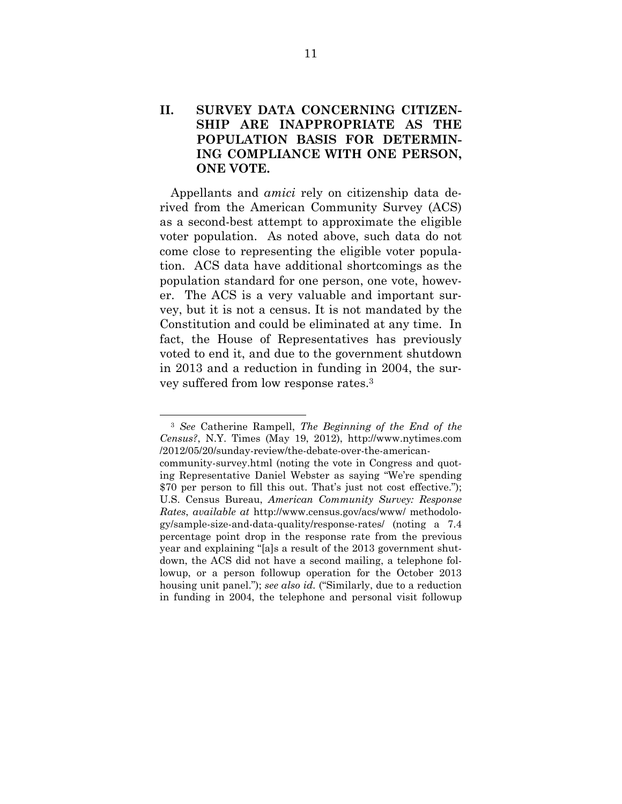### **II. SURVEY DATA CONCERNING CITIZEN-SHIP ARE INAPPROPRIATE AS THE POPULATION BASIS FOR DETERMIN-ING COMPLIANCE WITH ONE PERSON, ONE VOTE.**

Appellants and *amici* rely on citizenship data derived from the American Community Survey (ACS) as a second-best attempt to approximate the eligible voter population. As noted above, such data do not come close to representing the eligible voter population. ACS data have additional shortcomings as the population standard for one person, one vote, however. The ACS is a very valuable and important survey, but it is not a census. It is not mandated by the Constitution and could be eliminated at any time. In fact, the House of Representatives has previously voted to end it, and due to the government shutdown in 2013 and a reduction in funding in 2004, the survey suffered from low response rates.3

 <sup>3</sup> *See* Catherine Rampell, *The Beginning of the End of the Census?*, N.Y. Times (May 19, 2012), http://www.nytimes.com /2012/05/20/sunday-review/the-debate-over-the-americancommunity-survey.html (noting the vote in Congress and quoting Representative Daniel Webster as saying "We're spending \$70 per person to fill this out. That's just not cost effective."); U.S. Census Bureau, *American Community Survey: Response Rates*, *available at* http://www.census.gov/acs/www/ methodology/sample-size-and-data-quality/response-rates/ (noting a 7.4 percentage point drop in the response rate from the previous year and explaining "[a]s a result of the 2013 government shutdown, the ACS did not have a second mailing, a telephone followup, or a person followup operation for the October 2013 housing unit panel."); *see also id.* ("Similarly, due to a reduction in funding in 2004, the telephone and personal visit followup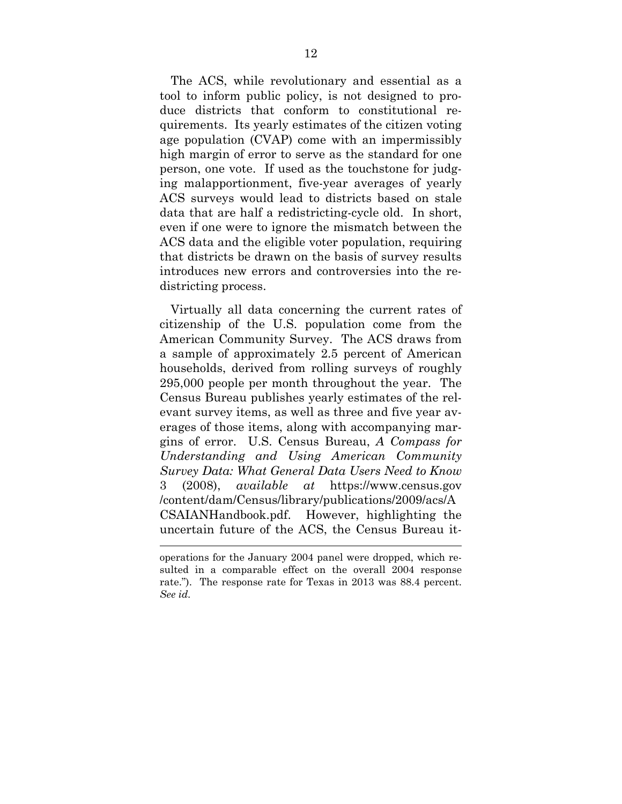The ACS, while revolutionary and essential as a tool to inform public policy, is not designed to produce districts that conform to constitutional requirements. Its yearly estimates of the citizen voting age population (CVAP) come with an impermissibly high margin of error to serve as the standard for one person, one vote. If used as the touchstone for judging malapportionment, five-year averages of yearly ACS surveys would lead to districts based on stale data that are half a redistricting-cycle old. In short, even if one were to ignore the mismatch between the ACS data and the eligible voter population, requiring that districts be drawn on the basis of survey results introduces new errors and controversies into the redistricting process.

Virtually all data concerning the current rates of citizenship of the U.S. population come from the American Community Survey. The ACS draws from a sample of approximately 2.5 percent of American households, derived from rolling surveys of roughly 295,000 people per month throughout the year. The Census Bureau publishes yearly estimates of the relevant survey items, as well as three and five year averages of those items, along with accompanying margins of error. U.S. Census Bureau, *A Compass for Understanding and Using American Community Survey Data: What General Data Users Need to Know* 3 (2008), *available at* https://www.census.gov /content/dam/Census/library/publications/2009/acs/A CSAIANHandbook.pdf. However, highlighting the uncertain future of the ACS, the Census Bureau it-

operations for the January 2004 panel were dropped, which resulted in a comparable effect on the overall 2004 response rate."). The response rate for Texas in 2013 was 88.4 percent. *See id.*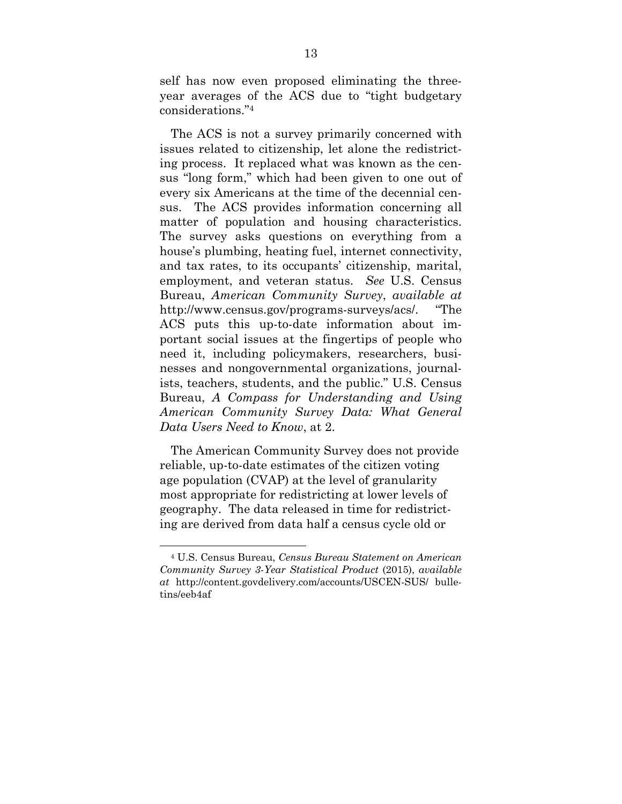self has now even proposed eliminating the threeyear averages of the ACS due to "tight budgetary considerations."4

The ACS is not a survey primarily concerned with issues related to citizenship, let alone the redistricting process. It replaced what was known as the census "long form," which had been given to one out of every six Americans at the time of the decennial census. The ACS provides information concerning all matter of population and housing characteristics. The survey asks questions on everything from a house's plumbing, heating fuel, internet connectivity, and tax rates, to its occupants' citizenship, marital, employment, and veteran status. *See* U.S. Census Bureau, *American Community Survey*, *available at* http://www.census.gov/programs-surveys/acs/. "The ACS puts this up-to-date information about important social issues at the fingertips of people who need it, including policymakers, researchers, businesses and nongovernmental organizations, journalists, teachers, students, and the public." U.S. Census Bureau, *A Compass for Understanding and Using American Community Survey Data: What General Data Users Need to Know*, at 2.

The American Community Survey does not provide reliable, up-to-date estimates of the citizen voting age population (CVAP) at the level of granularity most appropriate for redistricting at lower levels of geography. The data released in time for redistricting are derived from data half a census cycle old or

 <sup>4</sup> U.S. Census Bureau, *Census Bureau Statement on American Community Survey 3-Year Statistical Product* (2015), *available at* http://content.govdelivery.com/accounts/USCEN-SUS/ bulletins/eeb4af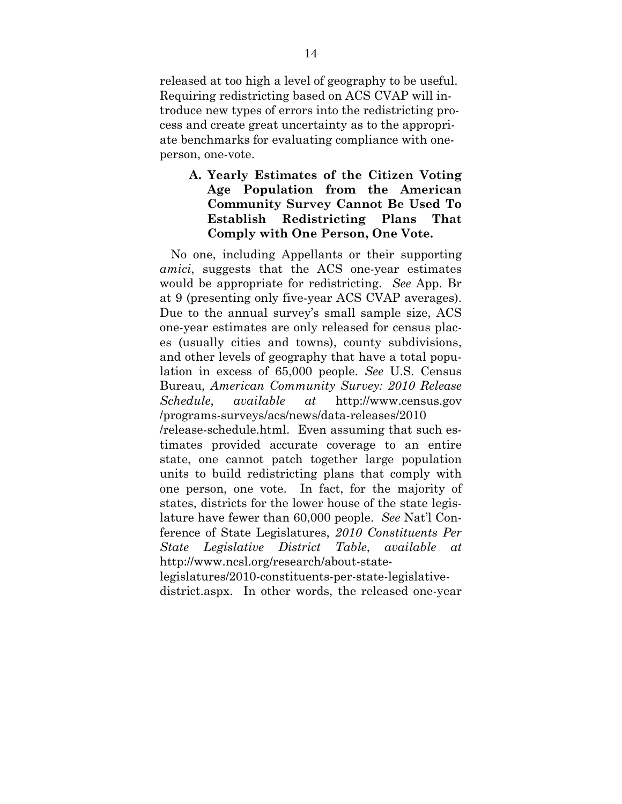released at too high a level of geography to be useful. Requiring redistricting based on ACS CVAP will introduce new types of errors into the redistricting process and create great uncertainty as to the appropriate benchmarks for evaluating compliance with oneperson, one-vote.

### **A. Yearly Estimates of the Citizen Voting Age Population from the American Community Survey Cannot Be Used To Establish Redistricting Plans That Comply with One Person, One Vote.**

No one, including Appellants or their supporting *amici*, suggests that the ACS one-year estimates would be appropriate for redistricting. *See* App. Br at 9 (presenting only five-year ACS CVAP averages). Due to the annual survey's small sample size, ACS one-year estimates are only released for census places (usually cities and towns), county subdivisions, and other levels of geography that have a total population in excess of 65,000 people. *See* U.S. Census Bureau, *American Community Survey: 2010 Release Schedule*, *available at* http://www.census.gov /programs-surveys/acs/news/data-releases/2010

/release-schedule.html. Even assuming that such estimates provided accurate coverage to an entire state, one cannot patch together large population units to build redistricting plans that comply with one person, one vote. In fact, for the majority of states, districts for the lower house of the state legislature have fewer than 60,000 people. *See* Nat'l Conference of State Legislatures, *2010 Constituents Per State Legislative District Table*, *available at* http://www.ncsl.org/research/about-state-

legislatures/2010-constituents-per-state-legislativedistrict.aspx. In other words, the released one-year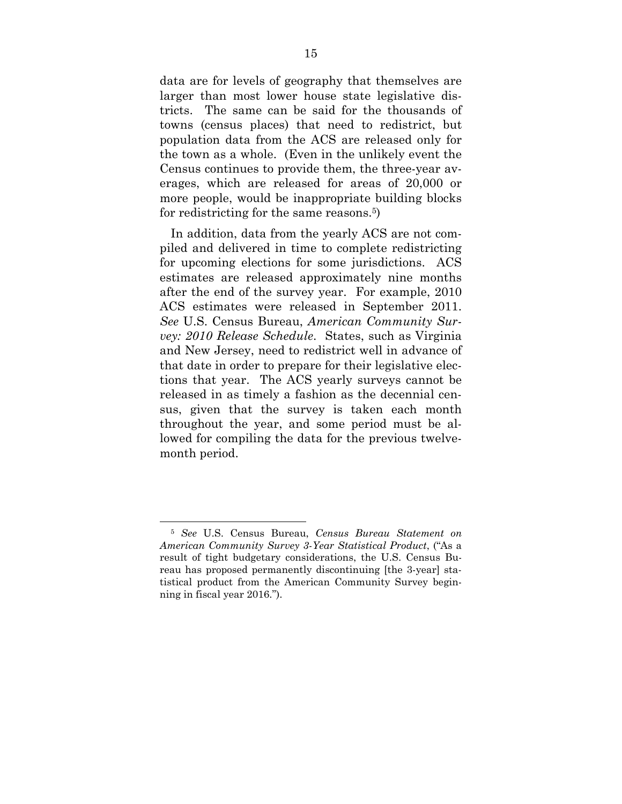data are for levels of geography that themselves are larger than most lower house state legislative districts. The same can be said for the thousands of towns (census places) that need to redistrict, but population data from the ACS are released only for the town as a whole. (Even in the unlikely event the Census continues to provide them, the three-year averages, which are released for areas of 20,000 or more people, would be inappropriate building blocks for redistricting for the same reasons.5)

In addition, data from the yearly ACS are not compiled and delivered in time to complete redistricting for upcoming elections for some jurisdictions. ACS estimates are released approximately nine months after the end of the survey year. For example, 2010 ACS estimates were released in September 2011. *See* U.S. Census Bureau, *American Community Survey: 2010 Release Schedule*. States, such as Virginia and New Jersey, need to redistrict well in advance of that date in order to prepare for their legislative elections that year. The ACS yearly surveys cannot be released in as timely a fashion as the decennial census, given that the survey is taken each month throughout the year, and some period must be allowed for compiling the data for the previous twelvemonth period.

 <sup>5</sup> *See* U.S. Census Bureau, *Census Bureau Statement on American Community Survey 3-Year Statistical Product*, ("As a result of tight budgetary considerations, the U.S. Census Bureau has proposed permanently discontinuing [the 3-year] statistical product from the American Community Survey beginning in fiscal year 2016.").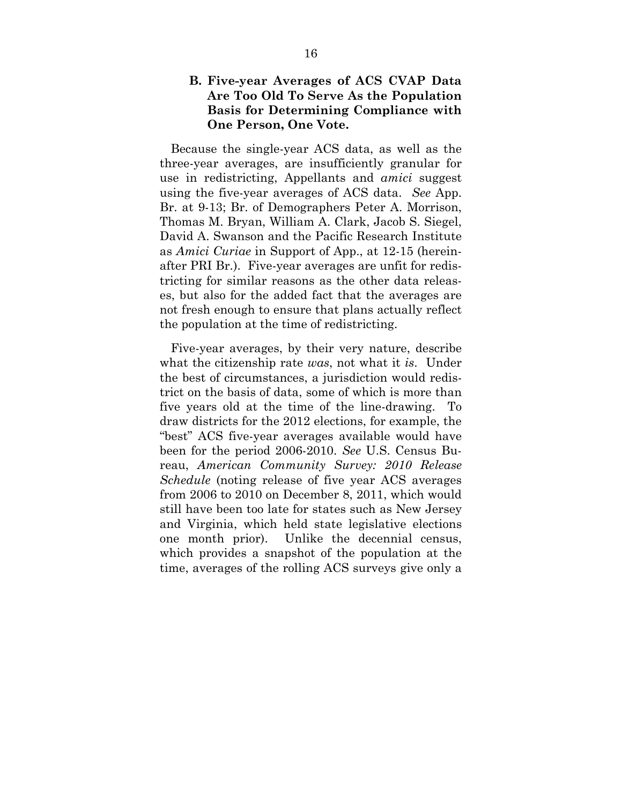#### **B. Five-year Averages of ACS CVAP Data Are Too Old To Serve As the Population Basis for Determining Compliance with One Person, One Vote.**

Because the single-year ACS data, as well as the three-year averages, are insufficiently granular for use in redistricting, Appellants and *amici* suggest using the five-year averages of ACS data. *See* App. Br. at 9-13; Br. of Demographers Peter A. Morrison, Thomas M. Bryan, William A. Clark, Jacob S. Siegel, David A. Swanson and the Pacific Research Institute as *Amici Curiae* in Support of App., at 12-15 (hereinafter PRI Br.). Five-year averages are unfit for redistricting for similar reasons as the other data releases, but also for the added fact that the averages are not fresh enough to ensure that plans actually reflect the population at the time of redistricting.

Five-year averages, by their very nature, describe what the citizenship rate *was*, not what it *is*. Under the best of circumstances, a jurisdiction would redistrict on the basis of data, some of which is more than five years old at the time of the line-drawing. To draw districts for the 2012 elections, for example, the "best" ACS five-year averages available would have been for the period 2006-2010. *See* U.S. Census Bureau, *American Community Survey: 2010 Release Schedule* (noting release of five year ACS averages from 2006 to 2010 on December 8, 2011, which would still have been too late for states such as New Jersey and Virginia, which held state legislative elections one month prior). Unlike the decennial census, which provides a snapshot of the population at the time, averages of the rolling ACS surveys give only a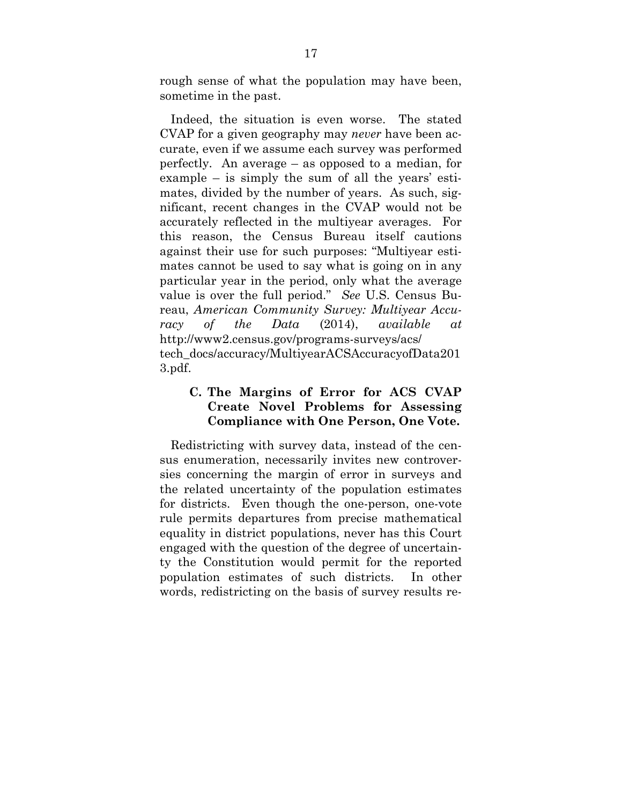rough sense of what the population may have been, sometime in the past.

Indeed, the situation is even worse. The stated CVAP for a given geography may *never* have been accurate, even if we assume each survey was performed perfectly. An average – as opposed to a median, for example – is simply the sum of all the years' estimates, divided by the number of years. As such, significant, recent changes in the CVAP would not be accurately reflected in the multiyear averages. For this reason, the Census Bureau itself cautions against their use for such purposes: "Multiyear estimates cannot be used to say what is going on in any particular year in the period, only what the average value is over the full period." *See* U.S. Census Bureau, *American Community Survey: Multiyear Accuracy of the Data* (2014), *available at* http://www2.census.gov/programs-surveys/acs/ tech\_docs/accuracy/MultiyearACSAccuracyofData201 3.pdf.

### **C. The Margins of Error for ACS CVAP Create Novel Problems for Assessing Compliance with One Person, One Vote.**

Redistricting with survey data, instead of the census enumeration, necessarily invites new controversies concerning the margin of error in surveys and the related uncertainty of the population estimates for districts. Even though the one-person, one-vote rule permits departures from precise mathematical equality in district populations, never has this Court engaged with the question of the degree of uncertainty the Constitution would permit for the reported population estimates of such districts. In other words, redistricting on the basis of survey results re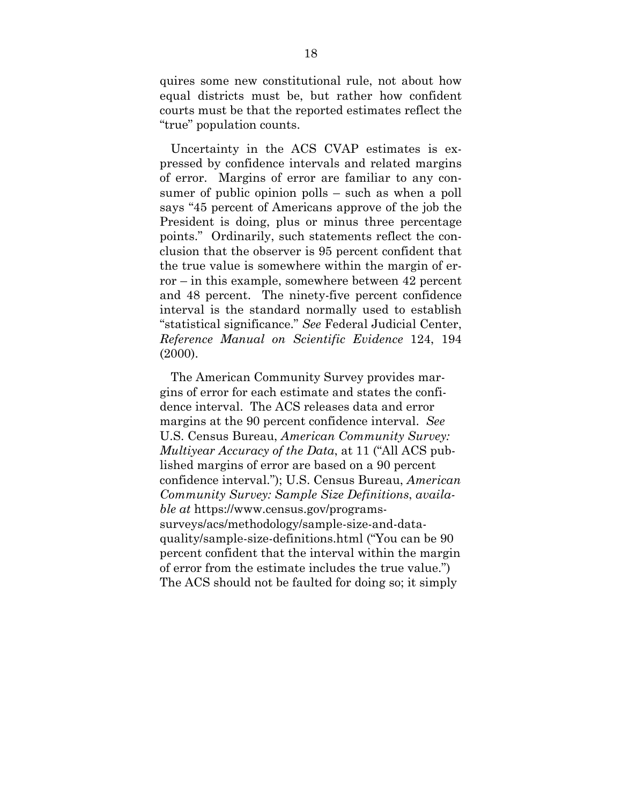quires some new constitutional rule, not about how equal districts must be, but rather how confident courts must be that the reported estimates reflect the "true" population counts.

Uncertainty in the ACS CVAP estimates is expressed by confidence intervals and related margins of error. Margins of error are familiar to any consumer of public opinion polls – such as when a poll says "45 percent of Americans approve of the job the President is doing, plus or minus three percentage points." Ordinarily, such statements reflect the conclusion that the observer is 95 percent confident that the true value is somewhere within the margin of error – in this example, somewhere between 42 percent and 48 percent. The ninety-five percent confidence interval is the standard normally used to establish "statistical significance." *See* Federal Judicial Center, *Reference Manual on Scientific Evidence* 124, 194 (2000).

The American Community Survey provides margins of error for each estimate and states the confidence interval. The ACS releases data and error margins at the 90 percent confidence interval. *See*  U.S. Census Bureau, *American Community Survey: Multiyear Accuracy of the Data*, at 11 ("All ACS published margins of error are based on a 90 percent confidence interval."); U.S. Census Bureau, *American Community Survey: Sample Size Definitions*, *available at* https://www.census.gov/programssurveys/acs/methodology/sample-size-and-dataquality/sample-size-definitions.html ("You can be 90 percent confident that the interval within the margin of error from the estimate includes the true value.") The ACS should not be faulted for doing so; it simply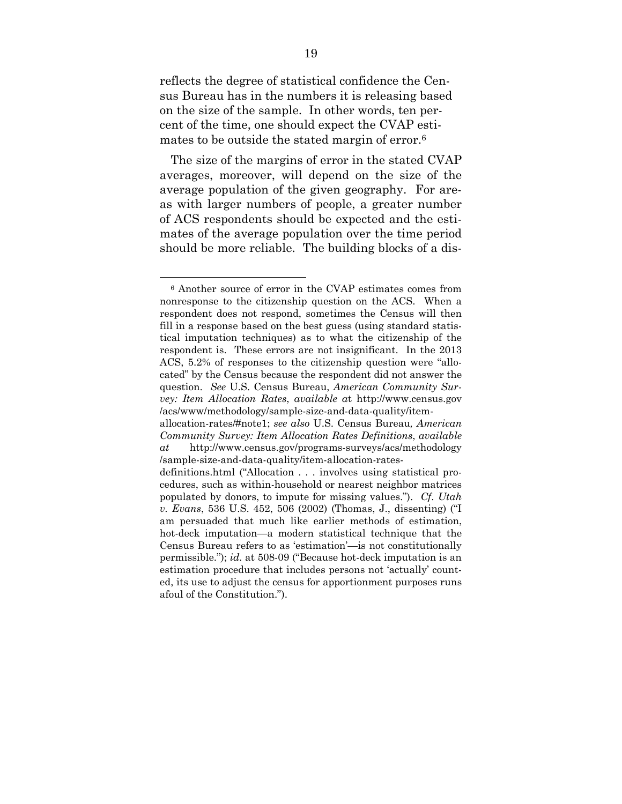reflects the degree of statistical confidence the Census Bureau has in the numbers it is releasing based on the size of the sample. In other words, ten percent of the time, one should expect the CVAP estimates to be outside the stated margin of error.6

The size of the margins of error in the stated CVAP averages, moreover, will depend on the size of the average population of the given geography. For areas with larger numbers of people, a greater number of ACS respondents should be expected and the estimates of the average population over the time period should be more reliable. The building blocks of a dis-

 <sup>6</sup> Another source of error in the CVAP estimates comes from nonresponse to the citizenship question on the ACS. When a respondent does not respond, sometimes the Census will then fill in a response based on the best guess (using standard statistical imputation techniques) as to what the citizenship of the respondent is. These errors are not insignificant. In the 2013 ACS, 5.2% of responses to the citizenship question were "allocated" by the Census because the respondent did not answer the question. *See* U.S. Census Bureau, *American Community Survey: Item Allocation Rates*, *available a*t http://www.census.gov /acs/www/methodology/sample-size-and-data-quality/item-

allocation-rates/#note1; *see also* U.S. Census Bureau*, American Community Survey: Item Allocation Rates Definitions*, *available at* http://www.census.gov/programs-surveys/acs/methodology /sample-size-and-data-quality/item-allocation-rates-

definitions.html ("Allocation . . . involves using statistical procedures, such as within-household or nearest neighbor matrices populated by donors, to impute for missing values."). *Cf*. *Utah v. Evans*, 536 U.S. 452, 506 (2002) (Thomas, J., dissenting) ("I am persuaded that much like earlier methods of estimation, hot-deck imputation—a modern statistical technique that the Census Bureau refers to as 'estimation'—is not constitutionally permissible."); *id.* at 508-09 ("Because hot-deck imputation is an estimation procedure that includes persons not 'actually' counted, its use to adjust the census for apportionment purposes runs afoul of the Constitution.").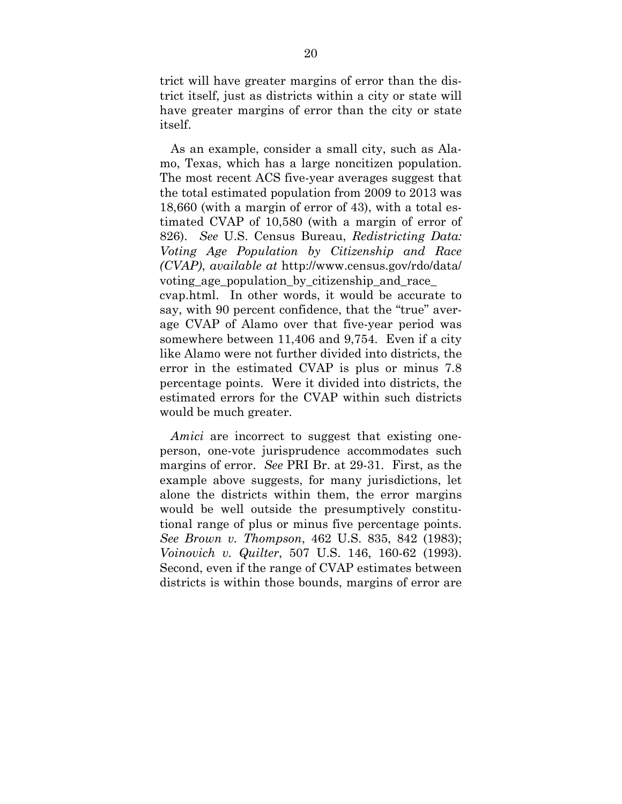trict will have greater margins of error than the district itself, just as districts within a city or state will have greater margins of error than the city or state itself.

As an example, consider a small city, such as Alamo, Texas, which has a large noncitizen population. The most recent ACS five-year averages suggest that the total estimated population from 2009 to 2013 was 18,660 (with a margin of error of 43), with a total estimated CVAP of 10,580 (with a margin of error of 826). *See* U.S. Census Bureau, *Redistricting Data: Voting Age Population by Citizenship and Race (CVAP)*, *available at* http://www.census.gov/rdo/data/ voting age population by citizenship and race cvap.html. In other words, it would be accurate to say, with 90 percent confidence, that the "true" average CVAP of Alamo over that five-year period was somewhere between 11,406 and 9,754. Even if a city like Alamo were not further divided into districts, the error in the estimated CVAP is plus or minus 7.8 percentage points. Were it divided into districts, the estimated errors for the CVAP within such districts would be much greater.

*Amici* are incorrect to suggest that existing oneperson, one-vote jurisprudence accommodates such margins of error. *See* PRI Br. at 29-31. First, as the example above suggests, for many jurisdictions, let alone the districts within them, the error margins would be well outside the presumptively constitutional range of plus or minus five percentage points. *See Brown v. Thompson*, 462 U.S. 835, 842 (1983); *Voinovich v. Quilter*, 507 U.S. 146, 160-62 (1993). Second, even if the range of CVAP estimates between districts is within those bounds, margins of error are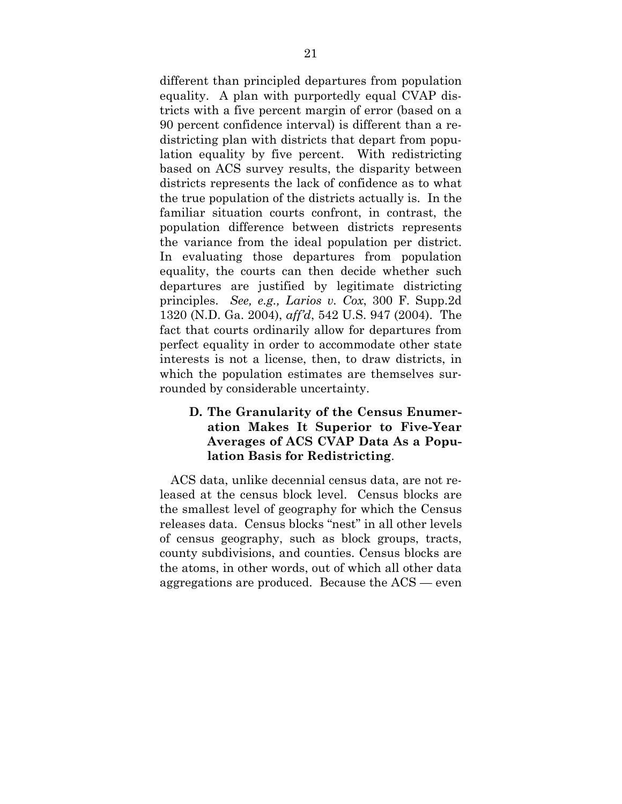different than principled departures from population equality. A plan with purportedly equal CVAP districts with a five percent margin of error (based on a 90 percent confidence interval) is different than a redistricting plan with districts that depart from population equality by five percent. With redistricting based on ACS survey results, the disparity between districts represents the lack of confidence as to what the true population of the districts actually is. In the familiar situation courts confront, in contrast, the population difference between districts represents the variance from the ideal population per district. In evaluating those departures from population equality, the courts can then decide whether such departures are justified by legitimate districting principles. *See, e.g., Larios v. Cox*, 300 F. Supp.2d 1320 (N.D. Ga. 2004), *aff'd*, 542 U.S. 947 (2004). The fact that courts ordinarily allow for departures from perfect equality in order to accommodate other state interests is not a license, then, to draw districts, in which the population estimates are themselves surrounded by considerable uncertainty.

#### **D. The Granularity of the Census Enumeration Makes It Superior to Five-Year Averages of ACS CVAP Data As a Population Basis for Redistricting**.

ACS data, unlike decennial census data, are not released at the census block level. Census blocks are the smallest level of geography for which the Census releases data. Census blocks "nest" in all other levels of census geography, such as block groups, tracts, county subdivisions, and counties. Census blocks are the atoms, in other words, out of which all other data aggregations are produced. Because the ACS — even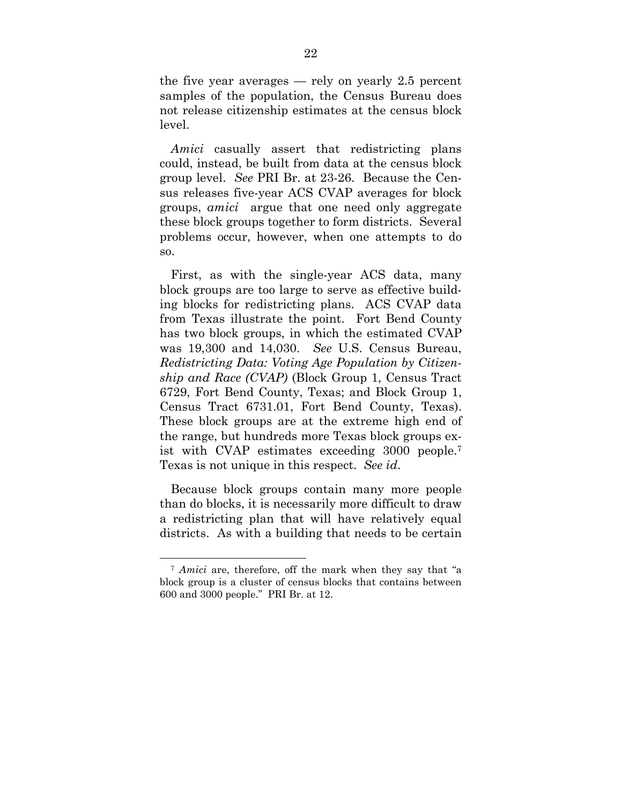the five year averages — rely on yearly 2.5 percent samples of the population, the Census Bureau does not release citizenship estimates at the census block level.

*Amici* casually assert that redistricting plans could, instead, be built from data at the census block group level. *See* PRI Br. at 23-26. Because the Census releases five-year ACS CVAP averages for block groups, *amici* argue that one need only aggregate these block groups together to form districts. Several problems occur, however, when one attempts to do so.

First, as with the single-year ACS data, many block groups are too large to serve as effective building blocks for redistricting plans. ACS CVAP data from Texas illustrate the point. Fort Bend County has two block groups, in which the estimated CVAP was 19,300 and 14,030. *See* U.S. Census Bureau, *Redistricting Data: Voting Age Population by Citizenship and Race (CVAP)* (Block Group 1, Census Tract 6729, Fort Bend County, Texas; and Block Group 1, Census Tract 6731.01, Fort Bend County, Texas). These block groups are at the extreme high end of the range, but hundreds more Texas block groups exist with CVAP estimates exceeding 3000 people.7 Texas is not unique in this respect. *See id*.

Because block groups contain many more people than do blocks, it is necessarily more difficult to draw a redistricting plan that will have relatively equal districts. As with a building that needs to be certain

 <sup>7</sup> *Amici* are, therefore, off the mark when they say that "a block group is a cluster of census blocks that contains between 600 and 3000 people." PRI Br. at 12.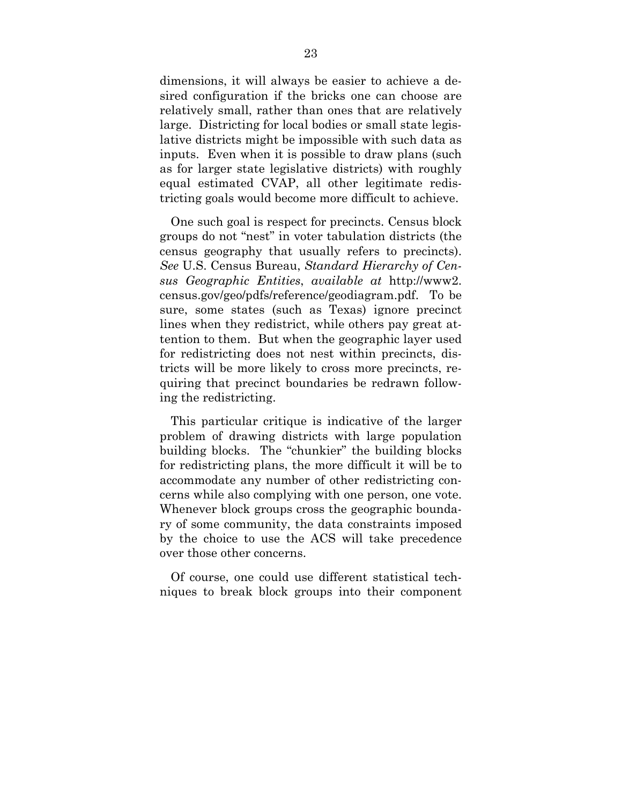dimensions, it will always be easier to achieve a desired configuration if the bricks one can choose are relatively small, rather than ones that are relatively large. Districting for local bodies or small state legislative districts might be impossible with such data as inputs. Even when it is possible to draw plans (such as for larger state legislative districts) with roughly equal estimated CVAP, all other legitimate redistricting goals would become more difficult to achieve.

One such goal is respect for precincts. Census block groups do not "nest" in voter tabulation districts (the census geography that usually refers to precincts). *See* U.S. Census Bureau, *Standard Hierarchy of Census Geographic Entities*, *available at* http://www2. census.gov/geo/pdfs/reference/geodiagram.pdf. To be sure, some states (such as Texas) ignore precinct lines when they redistrict, while others pay great attention to them. But when the geographic layer used for redistricting does not nest within precincts, districts will be more likely to cross more precincts, requiring that precinct boundaries be redrawn following the redistricting.

This particular critique is indicative of the larger problem of drawing districts with large population building blocks. The "chunkier" the building blocks for redistricting plans, the more difficult it will be to accommodate any number of other redistricting concerns while also complying with one person, one vote. Whenever block groups cross the geographic boundary of some community, the data constraints imposed by the choice to use the ACS will take precedence over those other concerns.

Of course, one could use different statistical techniques to break block groups into their component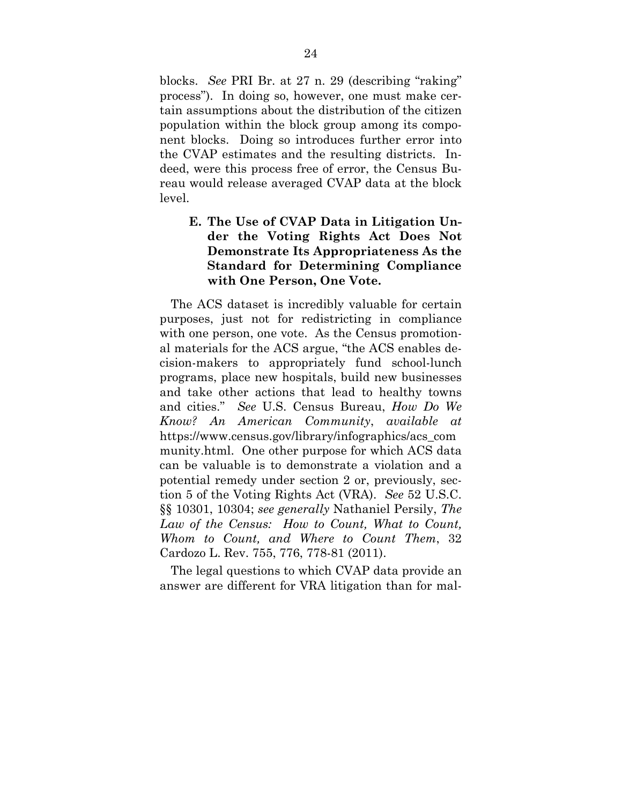blocks. *See* PRI Br. at 27 n. 29 (describing "raking" process"). In doing so, however, one must make certain assumptions about the distribution of the citizen population within the block group among its component blocks. Doing so introduces further error into the CVAP estimates and the resulting districts. Indeed, were this process free of error, the Census Bureau would release averaged CVAP data at the block level.

### **E. The Use of CVAP Data in Litigation Under the Voting Rights Act Does Not Demonstrate Its Appropriateness As the Standard for Determining Compliance with One Person, One Vote.**

The ACS dataset is incredibly valuable for certain purposes, just not for redistricting in compliance with one person, one vote. As the Census promotional materials for the ACS argue, "the ACS enables decision-makers to appropriately fund school-lunch programs, place new hospitals, build new businesses and take other actions that lead to healthy towns and cities." *See* U.S. Census Bureau, *How Do We Know? An American Community*, *available at* https://www.census.gov/library/infographics/acs\_com munity.html. One other purpose for which ACS data can be valuable is to demonstrate a violation and a potential remedy under section 2 or, previously, section 5 of the Voting Rights Act (VRA). *See* 52 U.S.C. §§ 10301, 10304; *see generally* Nathaniel Persily, *The*  Law of the Census: How to Count, What to Count, *Whom to Count, and Where to Count Them*, 32 Cardozo L. Rev. 755, 776, 778-81 (2011).

The legal questions to which CVAP data provide an answer are different for VRA litigation than for mal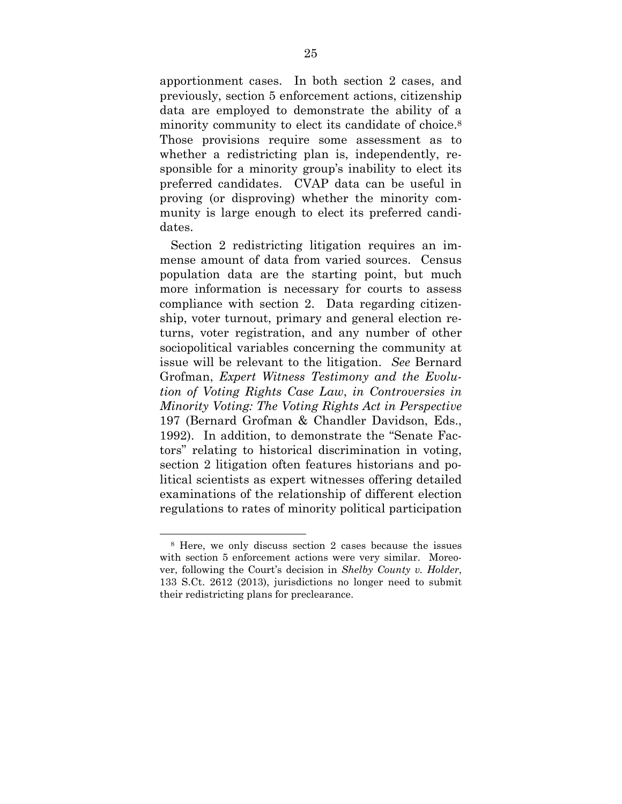apportionment cases. In both section 2 cases, and previously, section 5 enforcement actions, citizenship data are employed to demonstrate the ability of a minority community to elect its candidate of choice.8 Those provisions require some assessment as to whether a redistricting plan is, independently, responsible for a minority group's inability to elect its preferred candidates. CVAP data can be useful in proving (or disproving) whether the minority community is large enough to elect its preferred candidates.

Section 2 redistricting litigation requires an immense amount of data from varied sources. Census population data are the starting point, but much more information is necessary for courts to assess compliance with section 2. Data regarding citizenship, voter turnout, primary and general election returns, voter registration, and any number of other sociopolitical variables concerning the community at issue will be relevant to the litigation. *See* Bernard Grofman, *Expert Witness Testimony and the Evolution of Voting Rights Case Law*, *in Controversies in Minority Voting: The Voting Rights Act in Perspective*  197 (Bernard Grofman & Chandler Davidson, Eds., 1992). In addition, to demonstrate the "Senate Factors" relating to historical discrimination in voting, section 2 litigation often features historians and political scientists as expert witnesses offering detailed examinations of the relationship of different election regulations to rates of minority political participation

 <sup>8</sup> Here, we only discuss section 2 cases because the issues with section 5 enforcement actions were very similar. Moreover, following the Court's decision in *Shelby County v. Holder*, 133 S.Ct. 2612 (2013), jurisdictions no longer need to submit their redistricting plans for preclearance.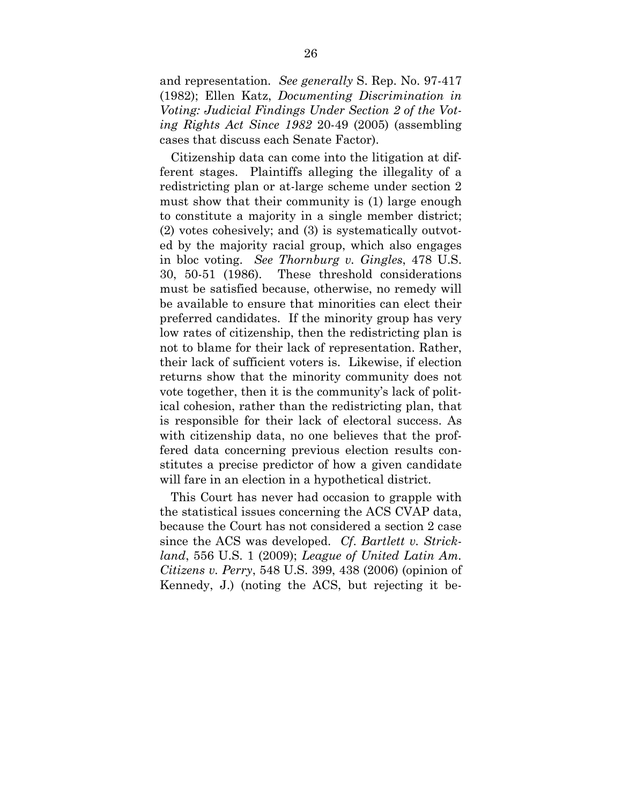and representation. *See generally* S. Rep. No. 97-417 (1982); Ellen Katz, *Documenting Discrimination in Voting: Judicial Findings Under Section 2 of the Voting Rights Act Since 1982* 20-49 (2005) (assembling cases that discuss each Senate Factor).

Citizenship data can come into the litigation at different stages. Plaintiffs alleging the illegality of a redistricting plan or at-large scheme under section 2 must show that their community is (1) large enough to constitute a majority in a single member district; (2) votes cohesively; and (3) is systematically outvoted by the majority racial group, which also engages in bloc voting. *See Thornburg v. Gingles*, 478 U.S. 30, 50-51 (1986). These threshold considerations must be satisfied because, otherwise, no remedy will be available to ensure that minorities can elect their preferred candidates. If the minority group has very low rates of citizenship, then the redistricting plan is not to blame for their lack of representation. Rather, their lack of sufficient voters is. Likewise, if election returns show that the minority community does not vote together, then it is the community's lack of political cohesion, rather than the redistricting plan, that is responsible for their lack of electoral success. As with citizenship data, no one believes that the proffered data concerning previous election results constitutes a precise predictor of how a given candidate will fare in an election in a hypothetical district.

This Court has never had occasion to grapple with the statistical issues concerning the ACS CVAP data, because the Court has not considered a section 2 case since the ACS was developed. *Cf*. *Bartlett v. Strickland*, 556 U.S. 1 (2009); *League of United Latin Am. Citizens v. Perry*, 548 U.S. 399, 438 (2006) (opinion of Kennedy, J.) (noting the ACS, but rejecting it be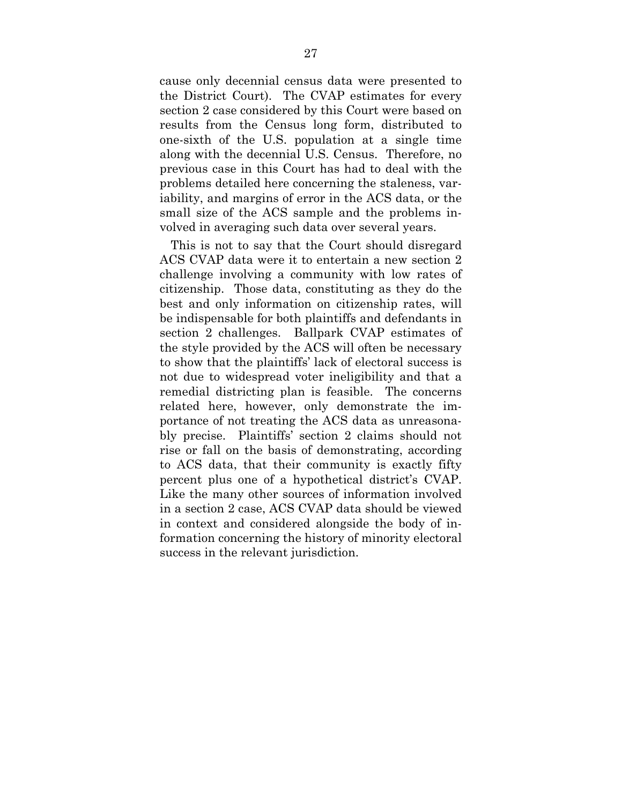cause only decennial census data were presented to the District Court). The CVAP estimates for every section 2 case considered by this Court were based on results from the Census long form, distributed to one-sixth of the U.S. population at a single time along with the decennial U.S. Census. Therefore, no previous case in this Court has had to deal with the problems detailed here concerning the staleness, variability, and margins of error in the ACS data, or the small size of the ACS sample and the problems involved in averaging such data over several years.

This is not to say that the Court should disregard ACS CVAP data were it to entertain a new section 2 challenge involving a community with low rates of citizenship. Those data, constituting as they do the best and only information on citizenship rates, will be indispensable for both plaintiffs and defendants in section 2 challenges. Ballpark CVAP estimates of the style provided by the ACS will often be necessary to show that the plaintiffs' lack of electoral success is not due to widespread voter ineligibility and that a remedial districting plan is feasible. The concerns related here, however, only demonstrate the importance of not treating the ACS data as unreasonably precise. Plaintiffs' section 2 claims should not rise or fall on the basis of demonstrating, according to ACS data, that their community is exactly fifty percent plus one of a hypothetical district's CVAP. Like the many other sources of information involved in a section 2 case, ACS CVAP data should be viewed in context and considered alongside the body of information concerning the history of minority electoral success in the relevant jurisdiction.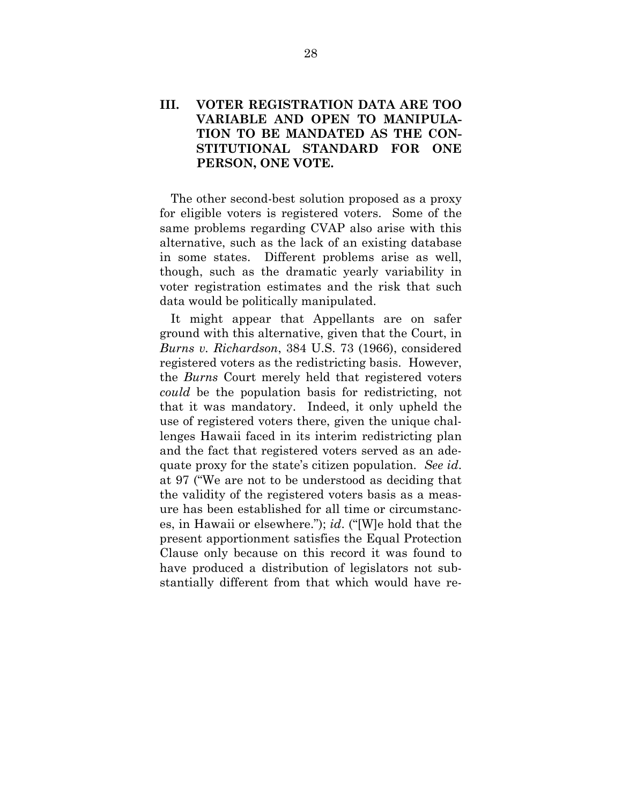### **III. VOTER REGISTRATION DATA ARE TOO VARIABLE AND OPEN TO MANIPULA-TION TO BE MANDATED AS THE CON-STITUTIONAL STANDARD FOR ONE PERSON, ONE VOTE.**

The other second-best solution proposed as a proxy for eligible voters is registered voters. Some of the same problems regarding CVAP also arise with this alternative, such as the lack of an existing database in some states. Different problems arise as well, though, such as the dramatic yearly variability in voter registration estimates and the risk that such data would be politically manipulated.

It might appear that Appellants are on safer ground with this alternative, given that the Court, in *Burns v. Richardson*, 384 U.S. 73 (1966), considered registered voters as the redistricting basis. However, the *Burns* Court merely held that registered voters *could* be the population basis for redistricting, not that it was mandatory. Indeed, it only upheld the use of registered voters there, given the unique challenges Hawaii faced in its interim redistricting plan and the fact that registered voters served as an adequate proxy for the state's citizen population. *See id*. at 97 ("We are not to be understood as deciding that the validity of the registered voters basis as a measure has been established for all time or circumstances, in Hawaii or elsewhere."); *id*. ("[W]e hold that the present apportionment satisfies the Equal Protection Clause only because on this record it was found to have produced a distribution of legislators not substantially different from that which would have re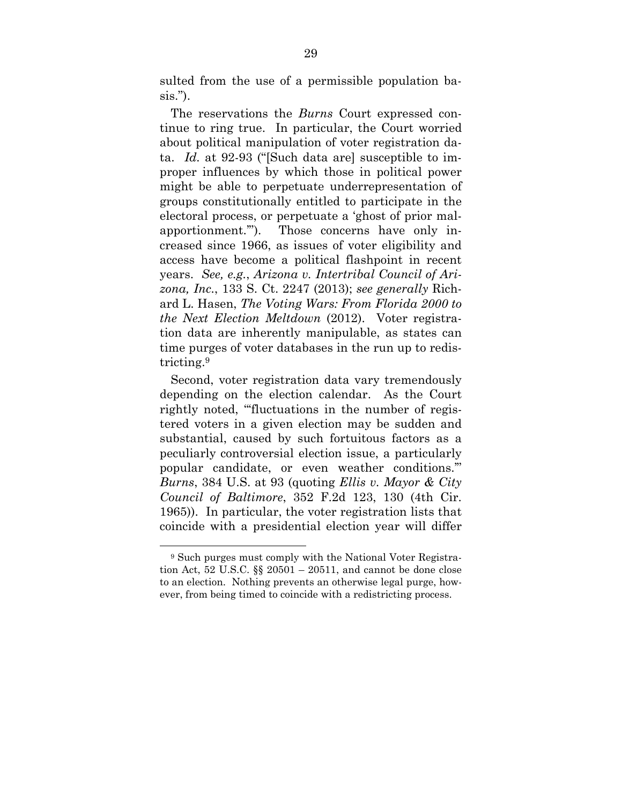sulted from the use of a permissible population basis.").

The reservations the *Burns* Court expressed continue to ring true. In particular, the Court worried about political manipulation of voter registration data. *Id.* at 92-93 ("[Such data are] susceptible to improper influences by which those in political power might be able to perpetuate underrepresentation of groups constitutionally entitled to participate in the electoral process, or perpetuate a 'ghost of prior malapportionment.'"). Those concerns have only increased since 1966, as issues of voter eligibility and access have become a political flashpoint in recent years. *See, e.g.*, *Arizona v. Intertribal Council of Arizona, Inc.*, 133 S. Ct. 2247 (2013); *see generally* Richard L. Hasen, *The Voting Wars: From Florida 2000 to the Next Election Meltdown* (2012). Voter registration data are inherently manipulable, as states can time purges of voter databases in the run up to redistricting.9

Second, voter registration data vary tremendously depending on the election calendar. As the Court rightly noted, "'fluctuations in the number of registered voters in a given election may be sudden and substantial, caused by such fortuitous factors as a peculiarly controversial election issue, a particularly popular candidate, or even weather conditions.'" *Burns*, 384 U.S. at 93 (quoting *Ellis v. Mayor & City Council of Baltimore*, 352 F.2d 123, 130 (4th Cir. 1965)). In particular, the voter registration lists that coincide with a presidential election year will differ

 <sup>9</sup> Such purges must comply with the National Voter Registration Act, 52 U.S.C.  $\S$  20501 – 20511, and cannot be done close to an election. Nothing prevents an otherwise legal purge, however, from being timed to coincide with a redistricting process.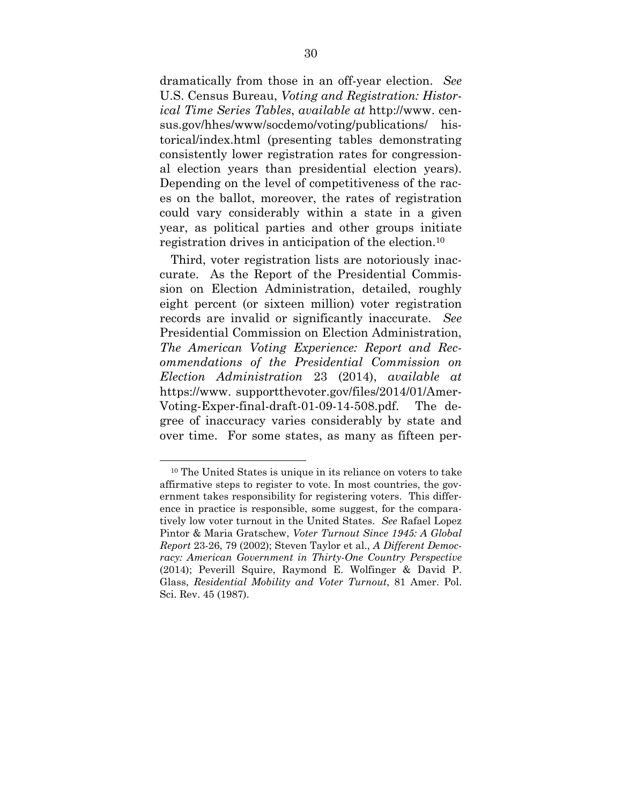dramatically from those in an off-year election. *See* U.S. Census Bureau, *Voting and Registration: Historical Time Series Tables*, *available at* http://www. census.gov/hhes/www/socdemo/voting/publications/ historical/index.html (presenting tables demonstrating consistently lower registration rates for congressional election years than presidential election years). Depending on the level of competitiveness of the races on the ballot, moreover, the rates of registration could vary considerably within a state in a given year, as political parties and other groups initiate registration drives in anticipation of the election.10

Third, voter registration lists are notoriously inaccurate. As the Report of the Presidential Commission on Election Administration, detailed, roughly eight percent (or sixteen million) voter registration records are invalid or significantly inaccurate. *See* Presidential Commission on Election Administration, *The American Voting Experience: Report and Recommendations of the Presidential Commission on Election Administration* 23 (2014), *available at*  https://www. supportthevoter.gov/files/2014/01/Amer-Voting-Exper-final-draft-01-09-14-508.pdf. The degree of inaccuracy varies considerably by state and over time. For some states, as many as fifteen per-

 <sup>10</sup> The United States is unique in its reliance on voters to take affirmative steps to register to vote. In most countries, the government takes responsibility for registering voters. This difference in practice is responsible, some suggest, for the comparatively low voter turnout in the United States. *See* Rafael Lopez Pintor & Maria Gratschew, *Voter Turnout Since 1945: A Global Report* 23-26, 79 (2002); Steven Taylor et al., *A Different Democracy: American Government in Thirty-One Country Perspective* (2014); Peverill Squire, Raymond E. Wolfinger & David P. Glass, *Residential Mobility and Voter Turnout*, 81 Amer. Pol. Sci. Rev. 45 (1987).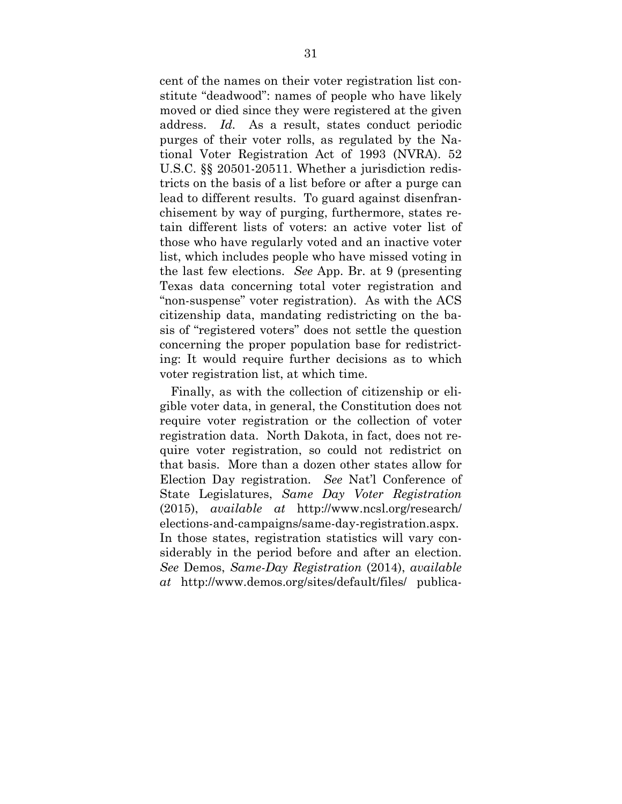cent of the names on their voter registration list constitute "deadwood": names of people who have likely moved or died since they were registered at the given address. *Id.* As a result, states conduct periodic purges of their voter rolls, as regulated by the National Voter Registration Act of 1993 (NVRA). 52 U.S.C. §§ 20501-20511. Whether a jurisdiction redistricts on the basis of a list before or after a purge can lead to different results. To guard against disenfranchisement by way of purging, furthermore, states retain different lists of voters: an active voter list of those who have regularly voted and an inactive voter list, which includes people who have missed voting in the last few elections. *See* App. Br. at 9 (presenting Texas data concerning total voter registration and "non-suspense" voter registration). As with the ACS citizenship data, mandating redistricting on the basis of "registered voters" does not settle the question concerning the proper population base for redistricting: It would require further decisions as to which voter registration list, at which time.

Finally, as with the collection of citizenship or eligible voter data, in general, the Constitution does not require voter registration or the collection of voter registration data. North Dakota, in fact, does not require voter registration, so could not redistrict on that basis. More than a dozen other states allow for Election Day registration. *See* Nat'l Conference of State Legislatures, *Same Day Voter Registration* (2015), *available at* http://www.ncsl.org/research/ elections-and-campaigns/same-day-registration.aspx. In those states, registration statistics will vary considerably in the period before and after an election. *See* Demos, *Same-Day Registration* (2014), *available at* http://www.demos.org/sites/default/files/ publica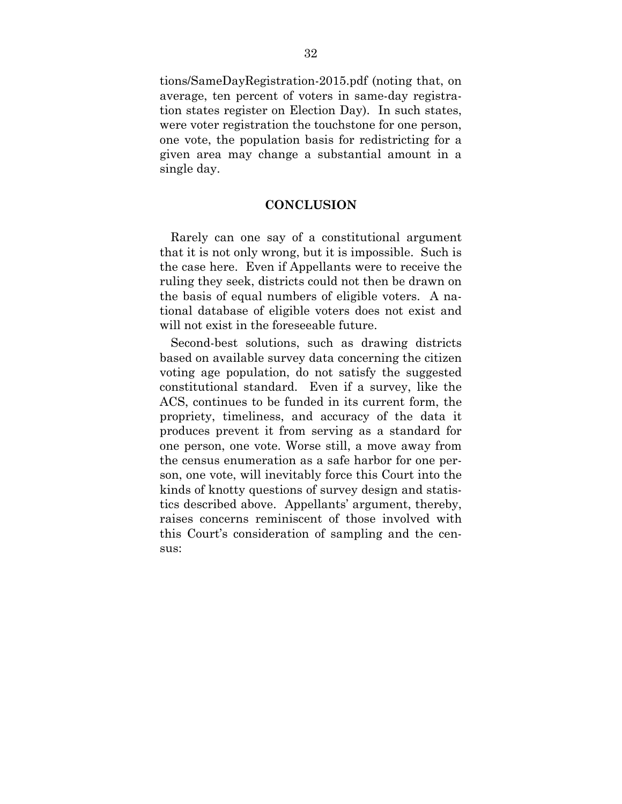tions/SameDayRegistration-2015.pdf (noting that, on average, ten percent of voters in same-day registration states register on Election Day). In such states, were voter registration the touchstone for one person, one vote, the population basis for redistricting for a given area may change a substantial amount in a single day.

#### **CONCLUSION**

Rarely can one say of a constitutional argument that it is not only wrong, but it is impossible. Such is the case here. Even if Appellants were to receive the ruling they seek, districts could not then be drawn on the basis of equal numbers of eligible voters. A national database of eligible voters does not exist and will not exist in the foreseeable future.

Second-best solutions, such as drawing districts based on available survey data concerning the citizen voting age population, do not satisfy the suggested constitutional standard. Even if a survey, like the ACS, continues to be funded in its current form, the propriety, timeliness, and accuracy of the data it produces prevent it from serving as a standard for one person, one vote. Worse still, a move away from the census enumeration as a safe harbor for one person, one vote, will inevitably force this Court into the kinds of knotty questions of survey design and statistics described above. Appellants' argument, thereby, raises concerns reminiscent of those involved with this Court's consideration of sampling and the census: